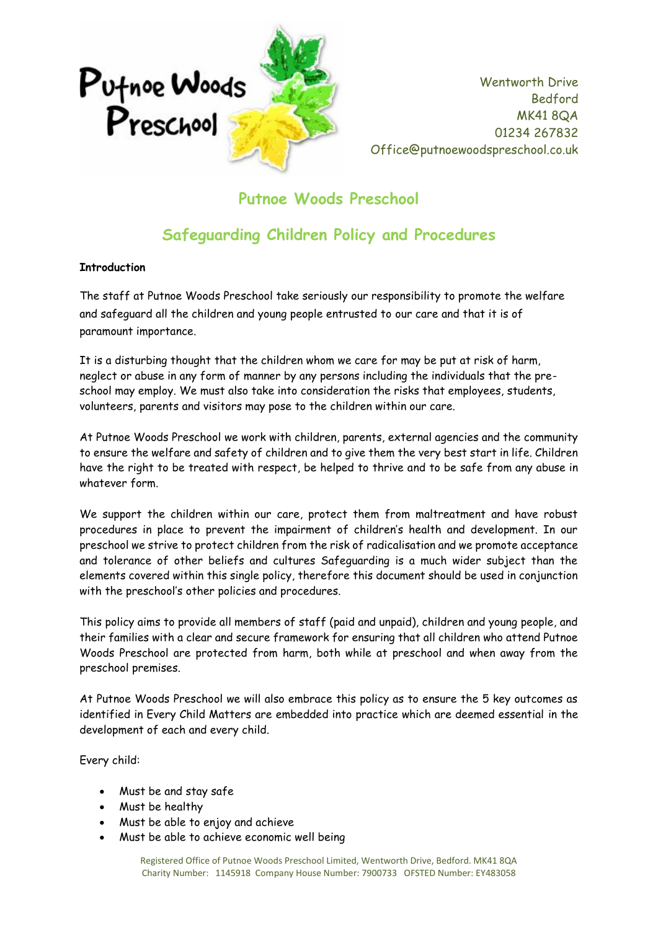

# **Putnoe Woods Preschool**

# **Safeguarding Children Policy and Procedures**

#### **Introduction**

The staff at Putnoe Woods Preschool take seriously our responsibility to promote the welfare and safeguard all the children and young people entrusted to our care and that it is of paramount importance.

It is a disturbing thought that the children whom we care for may be put at risk of harm, neglect or abuse in any form of manner by any persons including the individuals that the preschool may employ. We must also take into consideration the risks that employees, students, volunteers, parents and visitors may pose to the children within our care.

At Putnoe Woods Preschool we work with children, parents, external agencies and the community to ensure the welfare and safety of children and to give them the very best start in life. Children have the right to be treated with respect, be helped to thrive and to be safe from any abuse in whatever form.

We support the children within our care, protect them from maltreatment and have robust procedures in place to prevent the impairment of children's health and development. In our preschool we strive to protect children from the risk of radicalisation and we promote acceptance and tolerance of other beliefs and cultures Safeguarding is a much wider subject than the elements covered within this single policy, therefore this document should be used in conjunction with the preschool's other policies and procedures.

This policy aims to provide all members of staff (paid and unpaid), children and young people, and their families with a clear and secure framework for ensuring that all children who attend Putnoe Woods Preschool are protected from harm, both while at preschool and when away from the preschool premises.

At Putnoe Woods Preschool we will also embrace this policy as to ensure the 5 key outcomes as identified in Every Child Matters are embedded into practice which are deemed essential in the development of each and every child.

Every child:

- Must be and stay safe
- Must be healthy
- Must be able to enjoy and achieve
- Must be able to achieve economic well being

Registered Office of Putnoe Woods Preschool Limited, Wentworth Drive, Bedford. MK41 8QA Charity Number: 1145918 Company House Number: 7900733 OFSTED Number: EY483058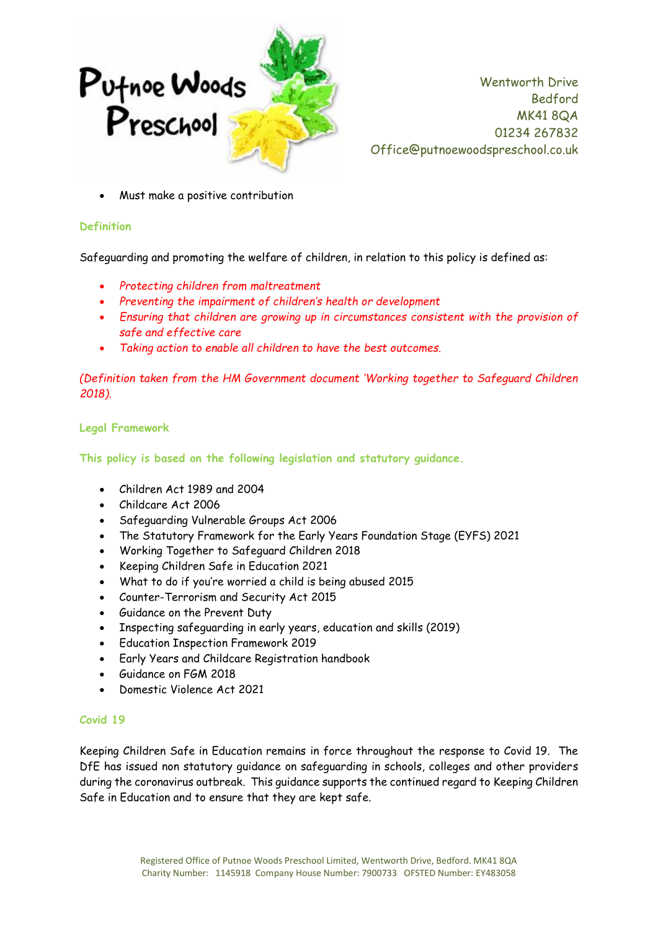

• Must make a positive contribution

#### **Definition**

Safeguarding and promoting the welfare of children, in relation to this policy is defined as:

- *Protecting children from maltreatment*
- *Preventing the impairment of children's health or development*
- *Ensuring that children are growing up in circumstances consistent with the provision of safe and effective care*
- *Taking action to enable all children to have the best outcomes.*

*(Definition taken from the HM Government document 'Working together to Safeguard Children 2018).*

#### **Legal Framework**

**This policy is based on the following legislation and statutory guidance.**

- Children Act 1989 and 2004
- Childcare Act 2006
- Safeguarding Vulnerable Groups Act 2006
- The Statutory Framework for the Early Years Foundation Stage (EYFS) 2021
- Working Together to Safeguard Children 2018
- Keeping Children Safe in Education 2021
- What to do if you're worried a child is being abused 2015
- Counter-Terrorism and Security Act 2015
- Guidance on the Prevent Duty
- Inspecting safeguarding in early years, education and skills (2019)
- Education Inspection Framework 2019
- Early Years and Childcare Registration handbook
- Guidance on FGM 2018
- Domestic Violence Act 2021

#### **Covid 19**

Keeping Children Safe in Education remains in force throughout the response to Covid 19. The DfE has issued non statutory guidance on safeguarding in schools, colleges and other providers during the coronavirus outbreak. This guidance supports the continued regard to Keeping Children Safe in Education and to ensure that they are kept safe.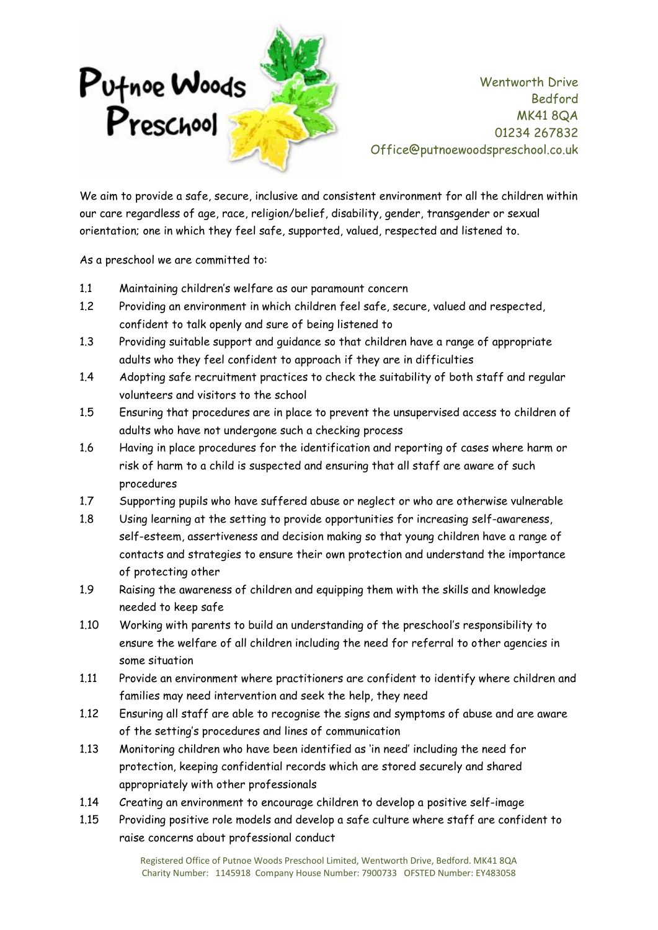

We aim to provide a safe, secure, inclusive and consistent environment for all the children within our care regardless of age, race, religion/belief, disability, gender, transgender or sexual orientation; one in which they feel safe, supported, valued, respected and listened to.

As a preschool we are committed to:

- 1.1 Maintaining children's welfare as our paramount concern
- 1.2 Providing an environment in which children feel safe, secure, valued and respected, confident to talk openly and sure of being listened to
- 1.3 Providing suitable support and guidance so that children have a range of appropriate adults who they feel confident to approach if they are in difficulties
- 1.4 Adopting safe recruitment practices to check the suitability of both staff and regular volunteers and visitors to the school
- 1.5 Ensuring that procedures are in place to prevent the unsupervised access to children of adults who have not undergone such a checking process
- 1.6 Having in place procedures for the identification and reporting of cases where harm or risk of harm to a child is suspected and ensuring that all staff are aware of such procedures
- 1.7 Supporting pupils who have suffered abuse or neglect or who are otherwise vulnerable
- 1.8 Using learning at the setting to provide opportunities for increasing self-awareness, self-esteem, assertiveness and decision making so that young children have a range of contacts and strategies to ensure their own protection and understand the importance of protecting other
- 1.9 Raising the awareness of children and equipping them with the skills and knowledge needed to keep safe
- 1.10 Working with parents to build an understanding of the preschool's responsibility to ensure the welfare of all children including the need for referral to other agencies in some situation
- 1.11 Provide an environment where practitioners are confident to identify where children and families may need intervention and seek the help, they need
- 1.12 Ensuring all staff are able to recognise the signs and symptoms of abuse and are aware of the setting's procedures and lines of communication
- 1.13 Monitoring children who have been identified as 'in need' including the need for protection, keeping confidential records which are stored securely and shared appropriately with other professionals
- 1.14 Creating an environment to encourage children to develop a positive self-image
- 1.15 Providing positive role models and develop a safe culture where staff are confident to raise concerns about professional conduct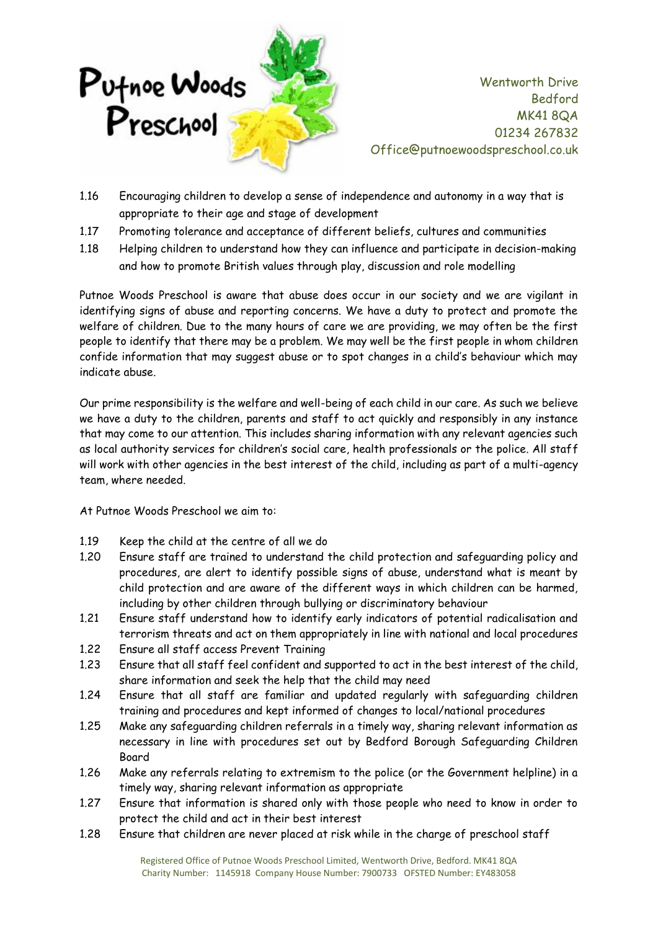

- 1.16 Encouraging children to develop a sense of independence and autonomy in a way that is appropriate to their age and stage of development
- 1.17 Promoting tolerance and acceptance of different beliefs, cultures and communities
- 1.18 Helping children to understand how they can influence and participate in decision-making and how to promote British values through play, discussion and role modelling

Putnoe Woods Preschool is aware that abuse does occur in our society and we are vigilant in identifying signs of abuse and reporting concerns. We have a duty to protect and promote the welfare of children. Due to the many hours of care we are providing, we may often be the first people to identify that there may be a problem. We may well be the first people in whom children confide information that may suggest abuse or to spot changes in a child's behaviour which may indicate abuse.

Our prime responsibility is the welfare and well-being of each child in our care. As such we believe we have a duty to the children, parents and staff to act quickly and responsibly in any instance that may come to our attention. This includes sharing information with any relevant agencies such as local authority services for children's social care, health professionals or the police. All staff will work with other agencies in the best interest of the child, including as part of a multi-agency team, where needed.

At Putnoe Woods Preschool we aim to:

- 1.19 Keep the child at the centre of all we do
- 1.20 Ensure staff are trained to understand the child protection and safeguarding policy and procedures, are alert to identify possible signs of abuse, understand what is meant by child protection and are aware of the different ways in which children can be harmed, including by other children through bullying or discriminatory behaviour
- 1.21 Ensure staff understand how to identify early indicators of potential radicalisation and terrorism threats and act on them appropriately in line with national and local procedures
- 1.22 Ensure all staff access Prevent Training
- 1.23 Ensure that all staff feel confident and supported to act in the best interest of the child, share information and seek the help that the child may need
- 1.24 Ensure that all staff are familiar and updated regularly with safeguarding children training and procedures and kept informed of changes to local/national procedures
- 1.25 Make any safeguarding children referrals in a timely way, sharing relevant information as necessary in line with procedures set out by Bedford Borough Safeguarding Children Board
- 1.26 Make any referrals relating to extremism to the police (or the Government helpline) in a timely way, sharing relevant information as appropriate
- 1.27 Ensure that information is shared only with those people who need to know in order to protect the child and act in their best interest
- 1.28 Ensure that children are never placed at risk while in the charge of preschool staff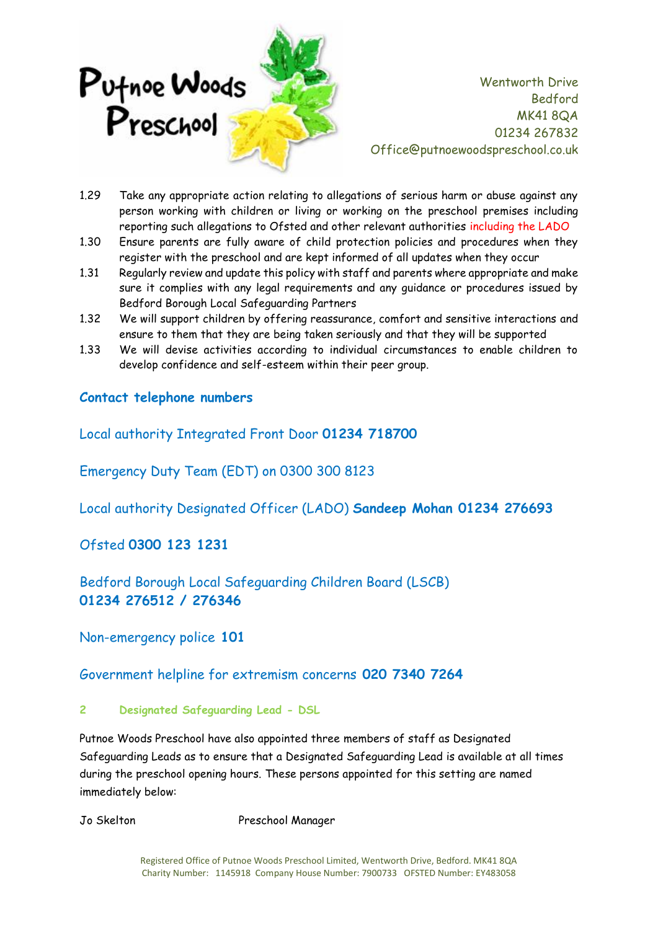

- 1.29 Take any appropriate action relating to allegations of serious harm or abuse against any person working with children or living or working on the preschool premises including reporting such allegations to Ofsted and other relevant authorities including the LADO
- 1.30 Ensure parents are fully aware of child protection policies and procedures when they register with the preschool and are kept informed of all updates when they occur
- 1.31 Regularly review and update this policy with staff and parents where appropriate and make sure it complies with any legal requirements and any guidance or procedures issued by Bedford Borough Local Safeguarding Partners
- 1.32 We will support children by offering reassurance, comfort and sensitive interactions and ensure to them that they are being taken seriously and that they will be supported
- 1.33 We will devise activities according to individual circumstances to enable children to develop confidence and self-esteem within their peer group.

# **Contact telephone numbers**

Local authority Integrated Front Door **01234 718700**

Emergency Duty Team (EDT) on 0300 300 8123

Local authority Designated Officer (LADO) **Sandeep Mohan 01234 276693**

Ofsted **0300 123 1231**

Bedford Borough Local Safeguarding Children Board (LSCB) **01234 276512 / 276346**

Non-emergency police **101** 

# Government helpline for extremism concerns **020 7340 7264**

#### **2 Designated Safeguarding Lead - DSL**

Putnoe Woods Preschool have also appointed three members of staff as Designated Safeguarding Leads as to ensure that a Designated Safeguarding Lead is available at all times during the preschool opening hours. These persons appointed for this setting are named immediately below:

Jo Skelton Preschool Manager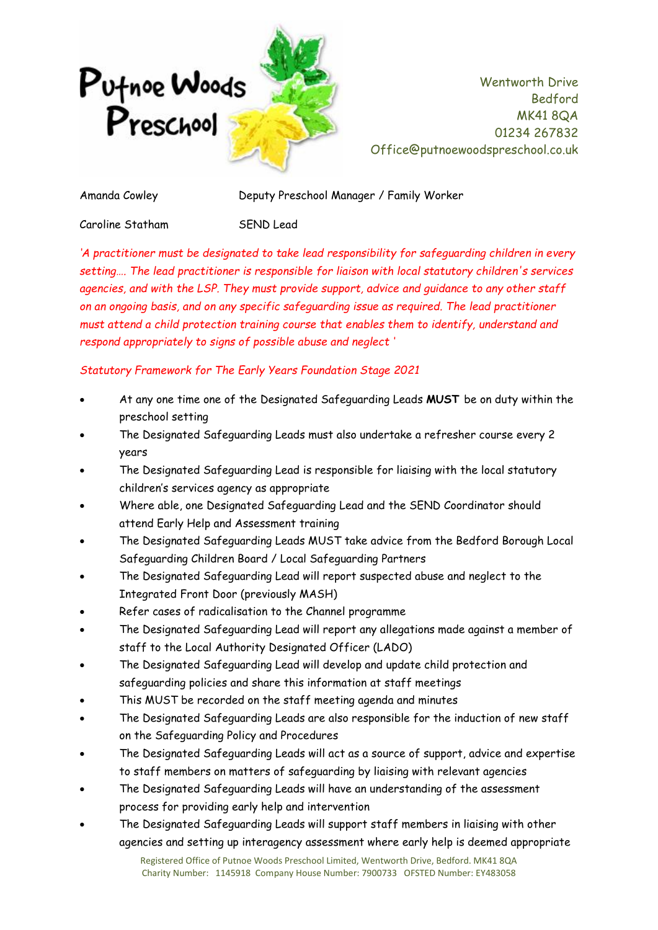

Amanda Cowley Deputy Preschool Manager / Family Worker

Caroline Statham SEND Lead

*'A practitioner must be designated to take lead responsibility for safeguarding children in every setting…. The lead practitioner is responsible for liaison with local statutory children's services agencies, and with the LSP. They must provide support, advice and guidance to any other staff on an ongoing basis, and on any specific safeguarding issue as required. The lead practitioner must attend a child protection training course that enables them to identify, understand and respond appropriately to signs of possible abuse and neglect '*

# *Statutory Framework for The Early Years Foundation Stage 2021*

- At any one time one of the Designated Safeguarding Leads **MUST** be on duty within the preschool setting
- The Designated Safeguarding Leads must also undertake a refresher course every 2 years
- The Designated Safeguarding Lead is responsible for liaising with the local statutory children's services agency as appropriate
- Where able, one Designated Safeguarding Lead and the SEND Coordinator should attend Early Help and Assessment training
- The Designated Safeguarding Leads MUST take advice from the Bedford Borough Local Safeguarding Children Board / Local Safeguarding Partners
- The Designated Safeguarding Lead will report suspected abuse and neglect to the Integrated Front Door (previously MASH)
- Refer cases of radicalisation to the Channel programme
- The Designated Safeguarding Lead will report any allegations made against a member of staff to the Local Authority Designated Officer (LADO)
- The Designated Safeguarding Lead will develop and update child protection and safeguarding policies and share this information at staff meetings
- This MUST be recorded on the staff meeting agenda and minutes
- The Designated Safeguarding Leads are also responsible for the induction of new staff on the Safeguarding Policy and Procedures
- The Designated Safeguarding Leads will act as a source of support, advice and expertise to staff members on matters of safeguarding by liaising with relevant agencies
- The Designated Safeguarding Leads will have an understanding of the assessment process for providing early help and intervention
- The Designated Safeguarding Leads will support staff members in liaising with other agencies and setting up interagency assessment where early help is deemed appropriate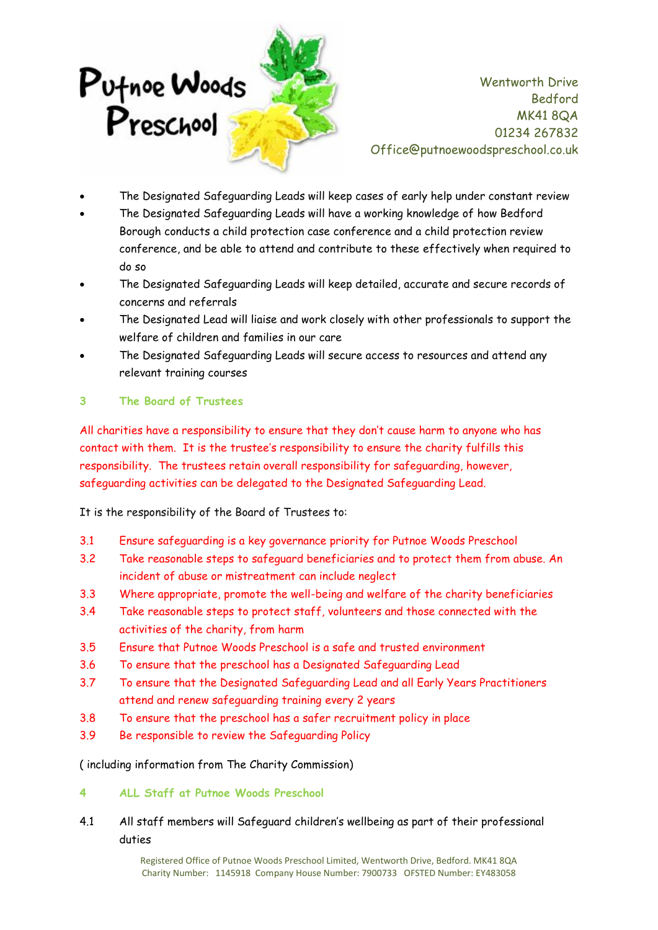

- The Designated Safeguarding Leads will keep cases of early help under constant review
- The Designated Safeguarding Leads will have a working knowledge of how Bedford Borough conducts a child protection case conference and a child protection review conference, and be able to attend and contribute to these effectively when required to do so
- The Designated Safeguarding Leads will keep detailed, accurate and secure records of concerns and referrals
- The Designated Lead will liaise and work closely with other professionals to support the welfare of children and families in our care
- The Designated Safeguarding Leads will secure access to resources and attend any relevant training courses

# **3 The Board of Trustees**

All charities have a responsibility to ensure that they don't cause harm to anyone who has contact with them. It is the trustee's responsibility to ensure the charity fulfills this responsibility. The trustees retain overall responsibility for safeguarding, however, safeguarding activities can be delegated to the Designated Safeguarding Lead.

It is the responsibility of the Board of Trustees to:

- 3.1 Ensure safeguarding is a key governance priority for Putnoe Woods Preschool
- 3.2 Take reasonable steps to safeguard beneficiaries and to protect them from abuse. An incident of abuse or mistreatment can include neglect
- 3.3 Where appropriate, promote the well-being and welfare of the charity beneficiaries
- 3.4 Take reasonable steps to protect staff, volunteers and those connected with the activities of the charity, from harm
- 3.5 Ensure that Putnoe Woods Preschool is a safe and trusted environment
- 3.6 To ensure that the preschool has a Designated Safeguarding Lead
- 3.7 To ensure that the Designated Safeguarding Lead and all Early Years Practitioners attend and renew safeguarding training every 2 years
- 3.8 To ensure that the preschool has a safer recruitment policy in place
- 3.9 Be responsible to review the Safeguarding Policy

( including information from The Charity Commission)

- **4 ALL Staff at Putnoe Woods Preschool**
- 4.1 All staff members will Safeguard children's wellbeing as part of their professional duties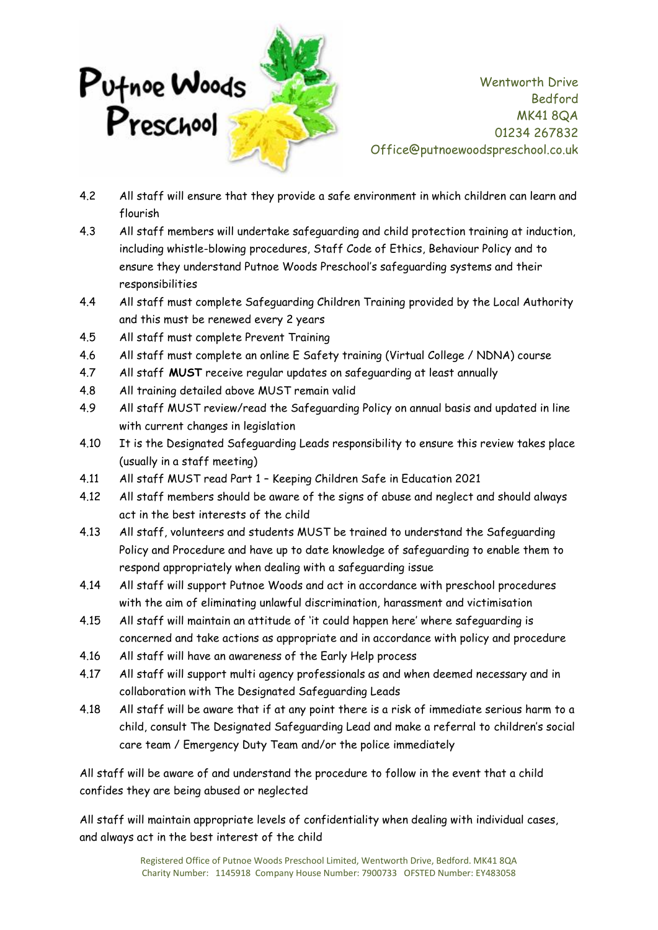

- 4.2 All staff will ensure that they provide a safe environment in which children can learn and flourish
- 4.3 All staff members will undertake safeguarding and child protection training at induction, including whistle-blowing procedures, Staff Code of Ethics, Behaviour Policy and to ensure they understand Putnoe Woods Preschool's safeguarding systems and their responsibilities
- 4.4 All staff must complete Safeguarding Children Training provided by the Local Authority and this must be renewed every 2 years
- 4.5 All staff must complete Prevent Training
- 4.6 All staff must complete an online E Safety training (Virtual College / NDNA) course
- 4.7 All staff **MUST** receive regular updates on safeguarding at least annually
- 4.8 All training detailed above MUST remain valid
- 4.9 All staff MUST review/read the Safeguarding Policy on annual basis and updated in line with current changes in legislation
- 4.10 It is the Designated Safeguarding Leads responsibility to ensure this review takes place (usually in a staff meeting)
- 4.11 All staff MUST read Part 1 Keeping Children Safe in Education 2021
- 4.12 All staff members should be aware of the signs of abuse and neglect and should always act in the best interests of the child
- 4.13 All staff, volunteers and students MUST be trained to understand the Safeguarding Policy and Procedure and have up to date knowledge of safeguarding to enable them to respond appropriately when dealing with a safeguarding issue
- 4.14 All staff will support Putnoe Woods and act in accordance with preschool procedures with the aim of eliminating unlawful discrimination, harassment and victimisation
- 4.15 All staff will maintain an attitude of 'it could happen here' where safeguarding is concerned and take actions as appropriate and in accordance with policy and procedure
- 4.16 All staff will have an awareness of the Early Help process
- 4.17 All staff will support multi agency professionals as and when deemed necessary and in collaboration with The Designated Safeguarding Leads
- 4.18 All staff will be aware that if at any point there is a risk of immediate serious harm to a child, consult The Designated Safeguarding Lead and make a referral to children's social care team / Emergency Duty Team and/or the police immediately

All staff will be aware of and understand the procedure to follow in the event that a child confides they are being abused or neglected

All staff will maintain appropriate levels of confidentiality when dealing with individual cases, and always act in the best interest of the child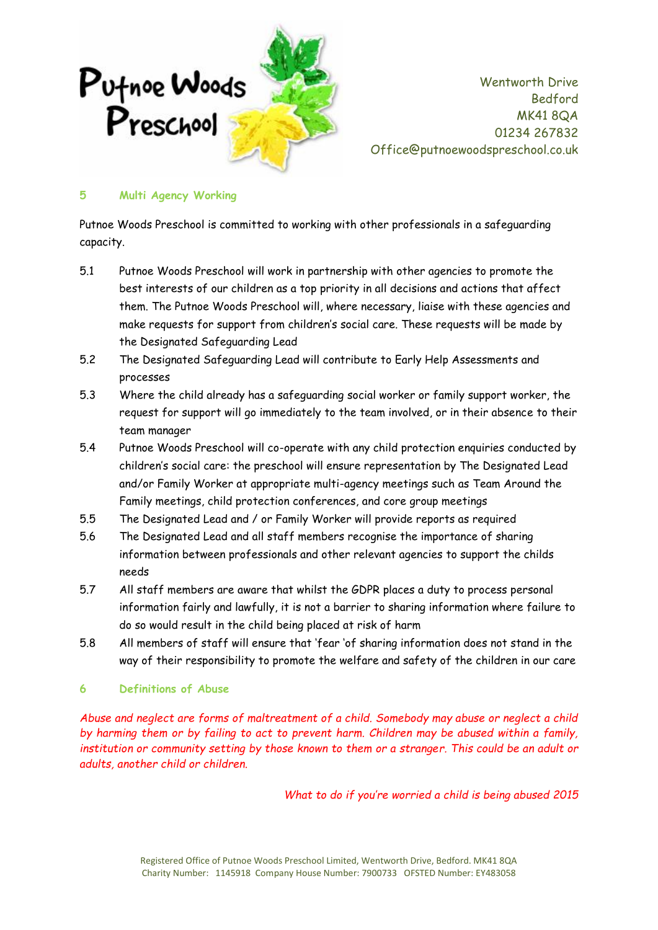

#### **5 Multi Agency Working**

Putnoe Woods Preschool is committed to working with other professionals in a safeguarding capacity.

- 5.1 Putnoe Woods Preschool will work in partnership with other agencies to promote the best interests of our children as a top priority in all decisions and actions that affect them. The Putnoe Woods Preschool will, where necessary, liaise with these agencies and make requests for support from children's social care. These requests will be made by the Designated Safeguarding Lead
- 5.2 The Designated Safeguarding Lead will contribute to Early Help Assessments and processes
- 5.3 Where the child already has a safeguarding social worker or family support worker, the request for support will go immediately to the team involved, or in their absence to their team manager
- 5.4 Putnoe Woods Preschool will co-operate with any child protection enquiries conducted by children's social care: the preschool will ensure representation by The Designated Lead and/or Family Worker at appropriate multi-agency meetings such as Team Around the Family meetings, child protection conferences, and core group meetings
- 5.5 The Designated Lead and / or Family Worker will provide reports as required
- 5.6 The Designated Lead and all staff members recognise the importance of sharing information between professionals and other relevant agencies to support the childs needs
- 5.7 All staff members are aware that whilst the GDPR places a duty to process personal information fairly and lawfully, it is not a barrier to sharing information where failure to do so would result in the child being placed at risk of harm
- 5.8 All members of staff will ensure that 'fear 'of sharing information does not stand in the way of their responsibility to promote the welfare and safety of the children in our care

#### **6 Definitions of Abuse**

*Abuse and neglect are forms of maltreatment of a child. Somebody may abuse or neglect a child by harming them or by failing to act to prevent harm. Children may be abused within a family, institution or community setting by those known to them or a stranger. This could be an adult or adults, another child or children.* 

*What to do if you're worried a child is being abused 2015*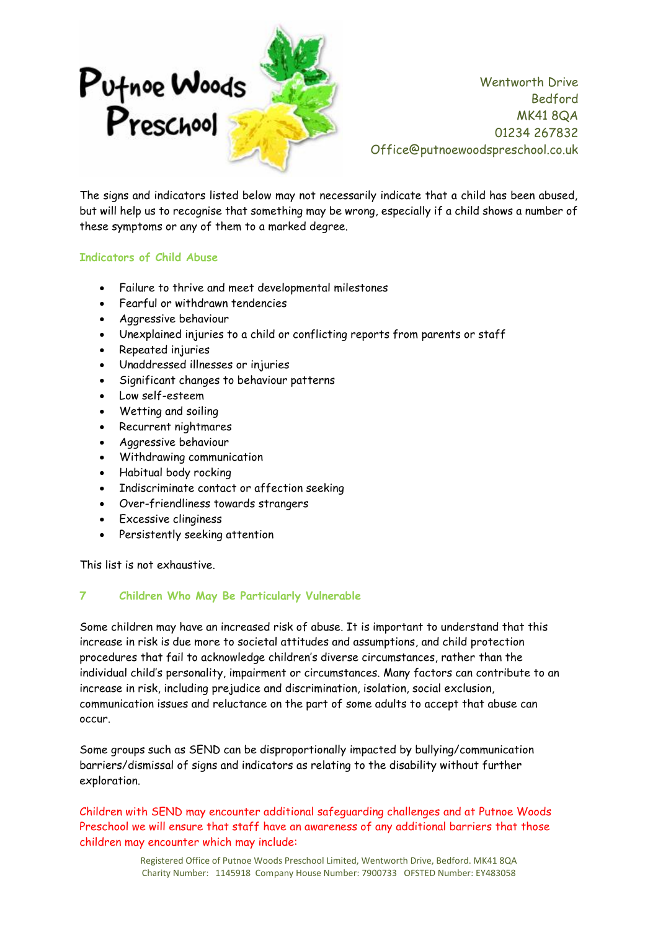

The signs and indicators listed below may not necessarily indicate that a child has been abused, but will help us to recognise that something may be wrong, especially if a child shows a number of these symptoms or any of them to a marked degree.

#### **Indicators of Child Abuse**

- Failure to thrive and meet developmental milestones
- Fearful or withdrawn tendencies
- Aggressive behaviour
- Unexplained injuries to a child or conflicting reports from parents or staff
- Repeated injuries
- Unaddressed illnesses or injuries
- Significant changes to behaviour patterns
- Low self-esteem
- Wetting and soiling
- Recurrent nightmares
- Aggressive behaviour
- Withdrawing communication
- Habitual body rocking
- Indiscriminate contact or affection seeking
- Over-friendliness towards strangers
- Excessive clinginess
- Persistently seeking attention

This list is not exhaustive.

#### **7 Children Who May Be Particularly Vulnerable**

Some children may have an increased risk of abuse. It is important to understand that this increase in risk is due more to societal attitudes and assumptions, and child protection procedures that fail to acknowledge children's diverse circumstances, rather than the individual child's personality, impairment or circumstances. Many factors can contribute to an increase in risk, including prejudice and discrimination, isolation, social exclusion, communication issues and reluctance on the part of some adults to accept that abuse can occur.

Some groups such as SEND can be disproportionally impacted by bullying/communication barriers/dismissal of signs and indicators as relating to the disability without further exploration.

Children with SEND may encounter additional safeguarding challenges and at Putnoe Woods Preschool we will ensure that staff have an awareness of any additional barriers that those children may encounter which may include: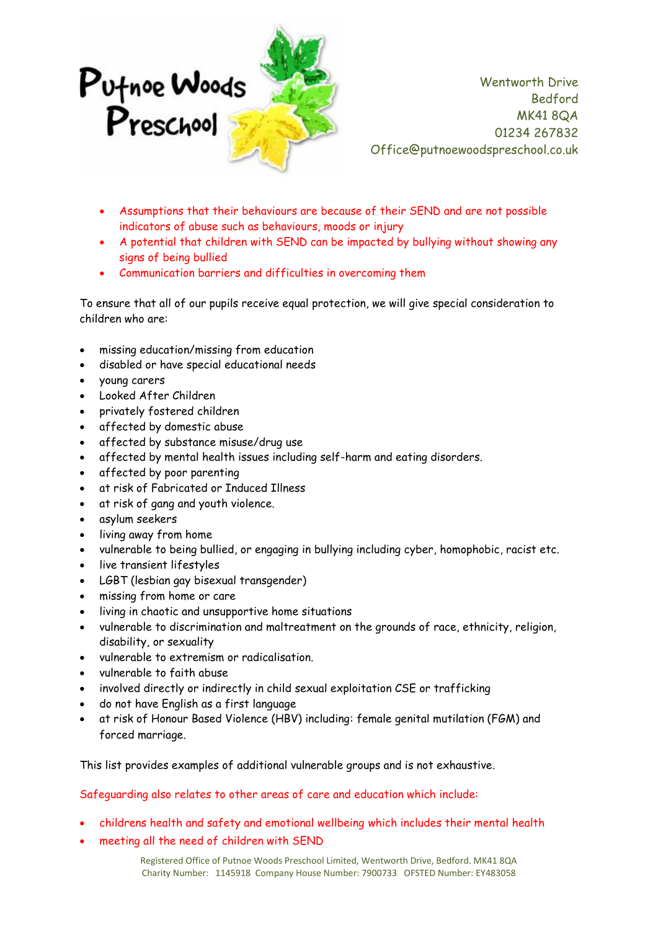

- Assumptions that their behaviours are because of their SEND and are not possible indicators of abuse such as behaviours, moods or injury
- A potential that children with SEND can be impacted by bullying without showing any signs of being bullied
- Communication barriers and difficulties in overcoming them

To ensure that all of our pupils receive equal protection, we will give special consideration to children who are:

- missing education/missing from education
- disabled or have special educational needs
- young carers
- Looked After Children
- privately fostered children
- affected by domestic abuse
- affected by substance misuse/drug use
- affected by mental health issues including self-harm and eating disorders.
- affected by poor parenting
- at risk of Fabricated or Induced Illness
- at risk of gang and youth violence.
- asylum seekers
- living away from home
- vulnerable to being bullied, or engaging in bullying including cyber, homophobic, racist etc.
- live transient lifestyles
- LGBT (lesbian gay bisexual transgender)
- missing from home or care
- living in chaotic and unsupportive home situations
- vulnerable to discrimination and maltreatment on the grounds of race, ethnicity, religion, disability, or sexuality
- vulnerable to extremism or radicalisation.
- vulnerable to faith abuse
- involved directly or indirectly in child sexual exploitation CSE or trafficking
- do not have English as a first language
- at risk of Honour Based Violence (HBV) including: female genital mutilation (FGM) and forced marriage.

This list provides examples of additional vulnerable groups and is not exhaustive.

Safeguarding also relates to other areas of care and education which include:

- childrens health and safety and emotional wellbeing which includes their mental health
- meeting all the need of children with SEND

Registered Office of Putnoe Woods Preschool Limited, Wentworth Drive, Bedford. MK41 8QA Charity Number: 1145918 Company House Number: 7900733 OFSTED Number: EY483058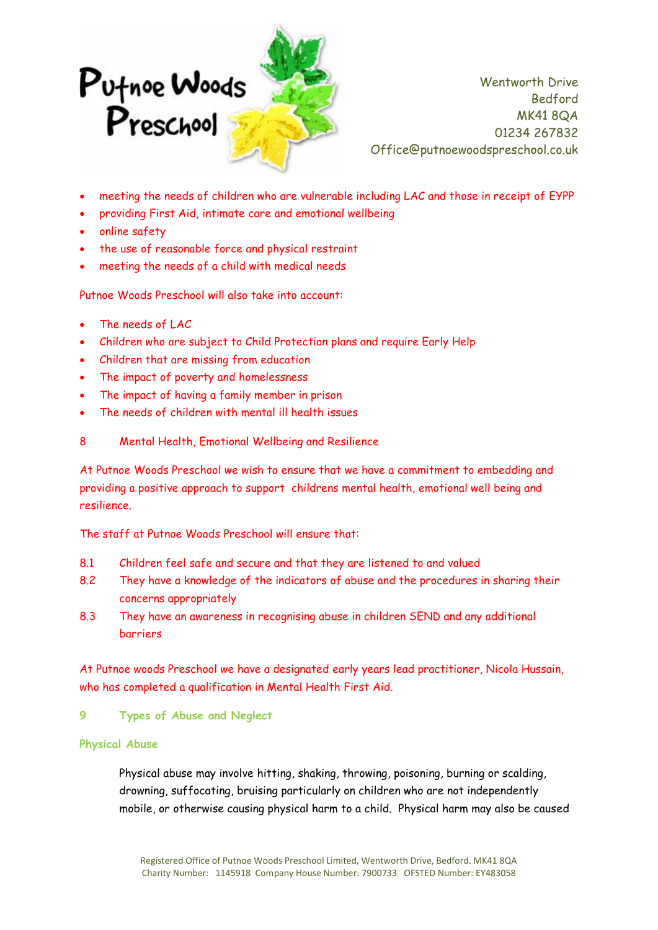

- meeting the needs of children who are vulnerable including LAC and those in receipt of EYPP
- providing First Aid, intimate care and emotional wellbeing
- online safety
- the use of reasonable force and physical restraint
- meeting the needs of a child with medical needs

Putnoe Woods Preschool will also take into account:

- The needs of LAC
- Children who are subject to Child Protection plans and require Early Help
- Children that are missing from education
- The impact of poverty and homelessness
- The impact of having a family member in prison
- The needs of children with mental ill health issues
- 8 Mental Health, Emotional Wellbeing and Resilience

At Putnoe Woods Preschool we wish to ensure that we have a commitment to embedding and providing a positive approach to support childrens mental health, emotional well being and resilience.

The staff at Putnoe Woods Preschool will ensure that:

- 8.1 Children feel safe and secure and that they are listened to and valued
- 8.2 They have a knowledge of the indicators of abuse and the procedures in sharing their concerns appropriately
- 8.3 They have an awareness in recognising abuse in children SEND and any additional barriers

At Putnoe woods Preschool we have a designated early years lead practitioner, Nicola Hussain, who has completed a qualification in Mental Health First Aid.

**9 Types of Abuse and Neglect**

#### **Physical Abuse**

Physical abuse may involve hitting, shaking, throwing, poisoning, burning or scalding, drowning, suffocating, bruising particularly on children who are not independently mobile, or otherwise causing physical harm to a child. Physical harm may also be caused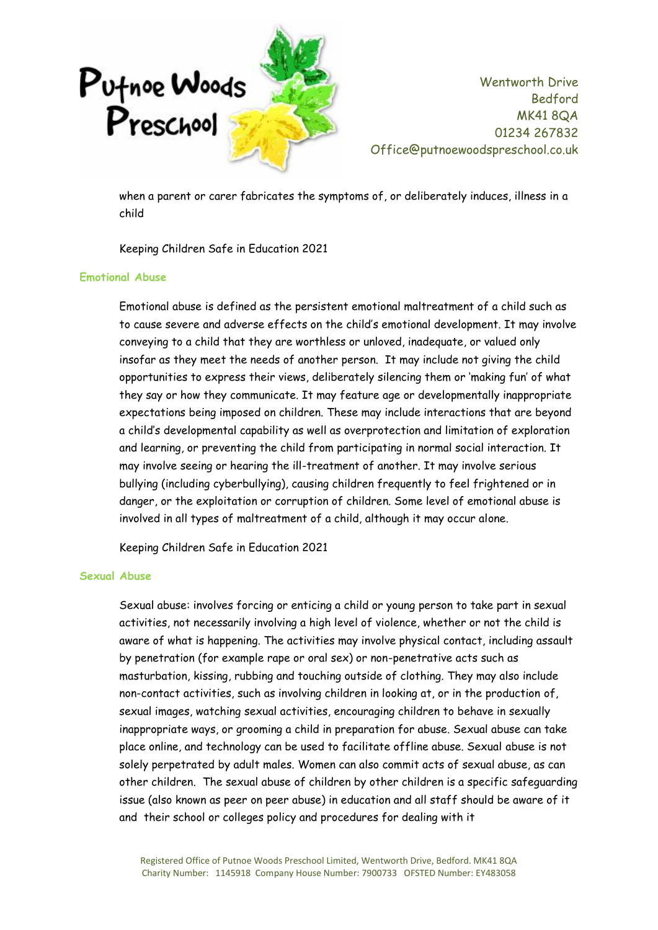

when a parent or carer fabricates the symptoms of, or deliberately induces, illness in a child

Keeping Children Safe in Education 2021

#### **Emotional Abuse**

Emotional abuse is defined as the persistent emotional maltreatment of a child such as to cause severe and adverse effects on the child's emotional development. It may involve conveying to a child that they are worthless or unloved, inadequate, or valued only insofar as they meet the needs of another person. It may include not giving the child opportunities to express their views, deliberately silencing them or 'making fun' of what they say or how they communicate. It may feature age or developmentally inappropriate expectations being imposed on children. These may include interactions that are beyond a child's developmental capability as well as overprotection and limitation of exploration and learning, or preventing the child from participating in normal social interaction. It may involve seeing or hearing the ill-treatment of another. It may involve serious bullying (including cyberbullying), causing children frequently to feel frightened or in danger, or the exploitation or corruption of children. Some level of emotional abuse is involved in all types of maltreatment of a child, although it may occur alone.

Keeping Children Safe in Education 2021

#### **Sexual Abuse**

Sexual abuse: involves forcing or enticing a child or young person to take part in sexual activities, not necessarily involving a high level of violence, whether or not the child is aware of what is happening. The activities may involve physical contact, including assault by penetration (for example rape or oral sex) or non-penetrative acts such as masturbation, kissing, rubbing and touching outside of clothing. They may also include non-contact activities, such as involving children in looking at, or in the production of, sexual images, watching sexual activities, encouraging children to behave in sexually inappropriate ways, or grooming a child in preparation for abuse. Sexual abuse can take place online, and technology can be used to facilitate offline abuse. Sexual abuse is not solely perpetrated by adult males. Women can also commit acts of sexual abuse, as can other children. The sexual abuse of children by other children is a specific safeguarding issue (also known as peer on peer abuse) in education and all staff should be aware of it and their school or colleges policy and procedures for dealing with it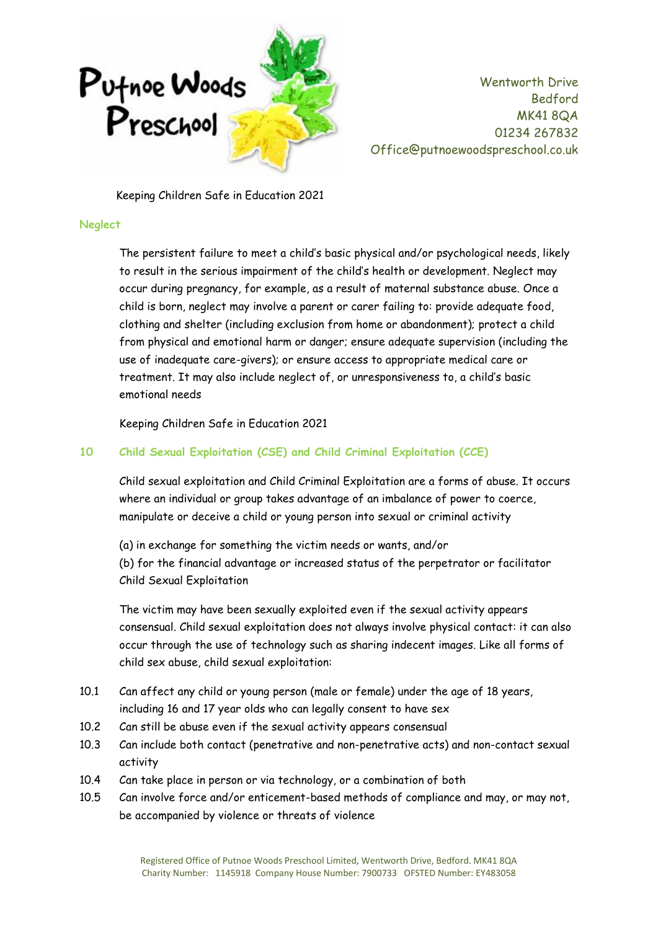

Keeping Children Safe in Education 2021

#### **Neglect**

The persistent failure to meet a child's basic physical and/or psychological needs, likely to result in the serious impairment of the child's health or development. Neglect may occur during pregnancy, for example, as a result of maternal substance abuse. Once a child is born, neglect may involve a parent or carer failing to: provide adequate food, clothing and shelter (including exclusion from home or abandonment); protect a child from physical and emotional harm or danger; ensure adequate supervision (including the use of inadequate care-givers); or ensure access to appropriate medical care or treatment. It may also include neglect of, or unresponsiveness to, a child's basic emotional needs

Keeping Children Safe in Education 2021

#### **10 Child Sexual Exploitation (CSE) and Child Criminal Exploitation (CCE)**

Child sexual exploitation and Child Criminal Exploitation are a forms of abuse. It occurs where an individual or group takes advantage of an imbalance of power to coerce, manipulate or deceive a child or young person into sexual or criminal activity

(a) in exchange for something the victim needs or wants, and/or (b) for the financial advantage or increased status of the perpetrator or facilitator Child Sexual Exploitation

The victim may have been sexually exploited even if the sexual activity appears consensual. Child sexual exploitation does not always involve physical contact: it can also occur through the use of technology such as sharing indecent images. Like all forms of child sex abuse, child sexual exploitation:

- 10.1 Can affect any child or young person (male or female) under the age of 18 years, including 16 and 17 year olds who can legally consent to have sex
- 10.2 Can still be abuse even if the sexual activity appears consensual
- 10.3 Can include both contact (penetrative and non-penetrative acts) and non-contact sexual activity
- 10.4 Can take place in person or via technology, or a combination of both
- 10.5 Can involve force and/or enticement-based methods of compliance and may, or may not, be accompanied by violence or threats of violence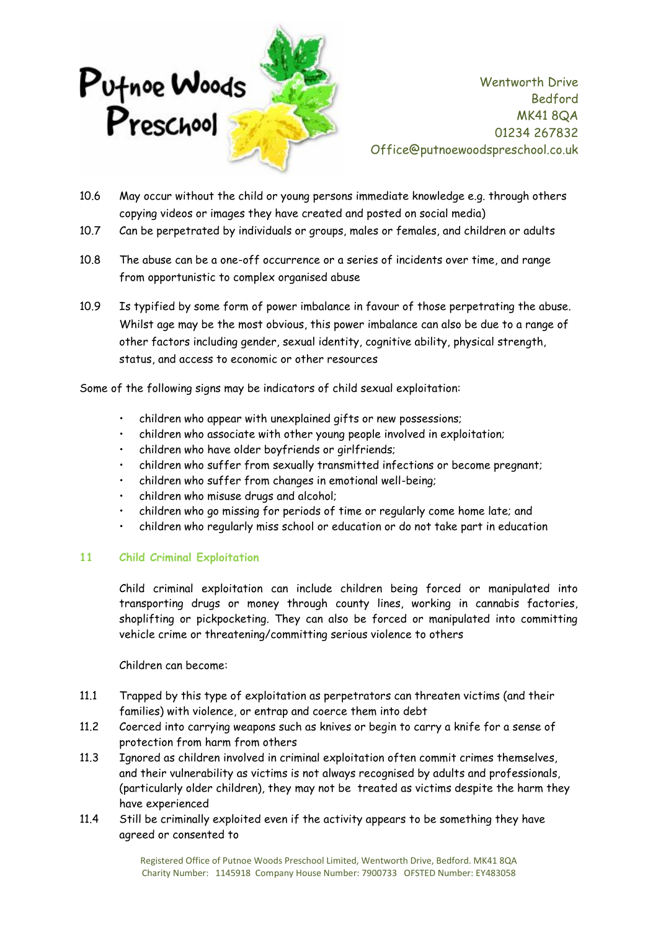

- 10.6 May occur without the child or young persons immediate knowledge e.g. through others copying videos or images they have created and posted on social media)
- 10.7 Can be perpetrated by individuals or groups, males or females, and children or adults
- 10.8 The abuse can be a one-off occurrence or a series of incidents over time, and range from opportunistic to complex organised abuse
- 10.9 Is typified by some form of power imbalance in favour of those perpetrating the abuse. Whilst age may be the most obvious, this power imbalance can also be due to a range of other factors including gender, sexual identity, cognitive ability, physical strength, status, and access to economic or other resources

Some of the following signs may be indicators of child sexual exploitation:

- children who appear with unexplained gifts or new possessions;
- children who associate with other young people involved in exploitation;
- children who have older boyfriends or girlfriends;
- children who suffer from sexually transmitted infections or become pregnant;
- children who suffer from changes in emotional well-being;
- children who misuse drugs and alcohol;
- children who go missing for periods of time or regularly come home late; and
- children who regularly miss school or education or do not take part in education

#### **11 Child Criminal Exploitation**

Child criminal exploitation can include children being forced or manipulated into transporting drugs or money through county lines, working in cannabis factories, shoplifting or pickpocketing. They can also be forced or manipulated into committing vehicle crime or threatening/committing serious violence to others

Children can become:

- 11.1 Trapped by this type of exploitation as perpetrators can threaten victims (and their families) with violence, or entrap and coerce them into debt
- 11.2 Coerced into carrying weapons such as knives or begin to carry a knife for a sense of protection from harm from others
- 11.3 Ignored as children involved in criminal exploitation often commit crimes themselves, and their vulnerability as victims is not always recognised by adults and professionals, (particularly older children), they may not be treated as victims despite the harm they have experienced
- 11.4 Still be criminally exploited even if the activity appears to be something they have agreed or consented to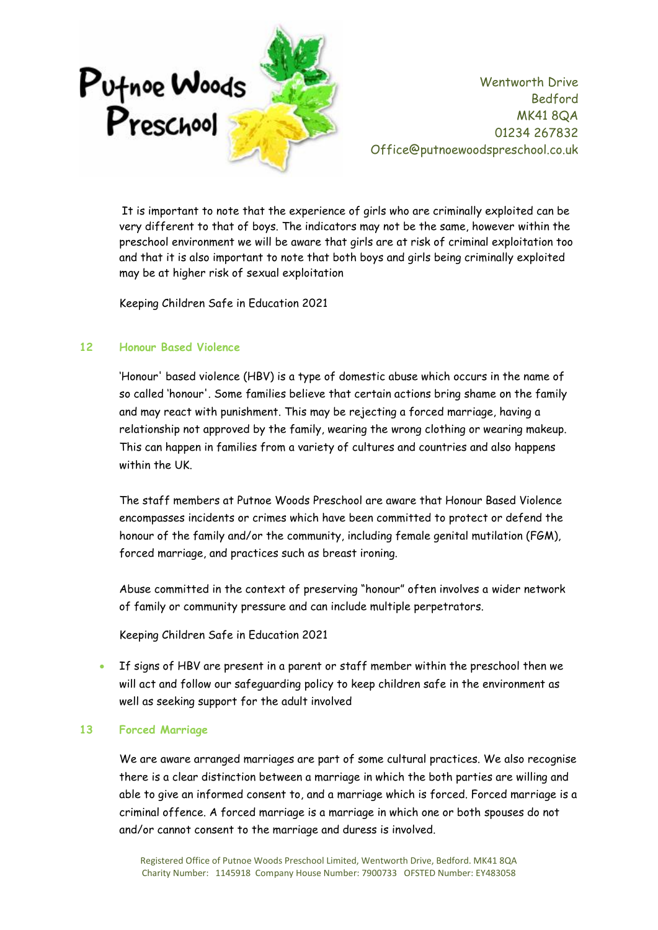

It is important to note that the experience of girls who are criminally exploited can be very different to that of boys. The indicators may not be the same, however within the preschool environment we will be aware that girls are at risk of criminal exploitation too and that it is also important to note that both boys and girls being criminally exploited may be at higher risk of sexual exploitation

Keeping Children Safe in Education 2021

#### **12 Honour Based Violence**

'Honour' based violence (HBV) is a type of domestic abuse which occurs in the name of so called 'honour'. Some families believe that certain actions bring shame on the family and may react with punishment. This may be rejecting a forced marriage, having a relationship not approved by the family, wearing the wrong clothing or wearing makeup. This can happen in families from a variety of cultures and countries and also happens within the UK.

The staff members at Putnoe Woods Preschool are aware that Honour Based Violence encompasses incidents or crimes which have been committed to protect or defend the honour of the family and/or the community, including female genital mutilation (FGM), forced marriage, and practices such as breast ironing.

Abuse committed in the context of preserving "honour" often involves a wider network of family or community pressure and can include multiple perpetrators.

Keeping Children Safe in Education 2021

If signs of HBV are present in a parent or staff member within the preschool then we will act and follow our safeguarding policy to keep children safe in the environment as well as seeking support for the adult involved

#### **13 Forced Marriage**

We are aware arranged marriages are part of some cultural practices. We also recognise there is a clear distinction between a marriage in which the both parties are willing and able to give an informed consent to, and a marriage which is forced. Forced marriage is a criminal offence. A forced marriage is a marriage in which one or both spouses do not and/or cannot consent to the marriage and duress is involved.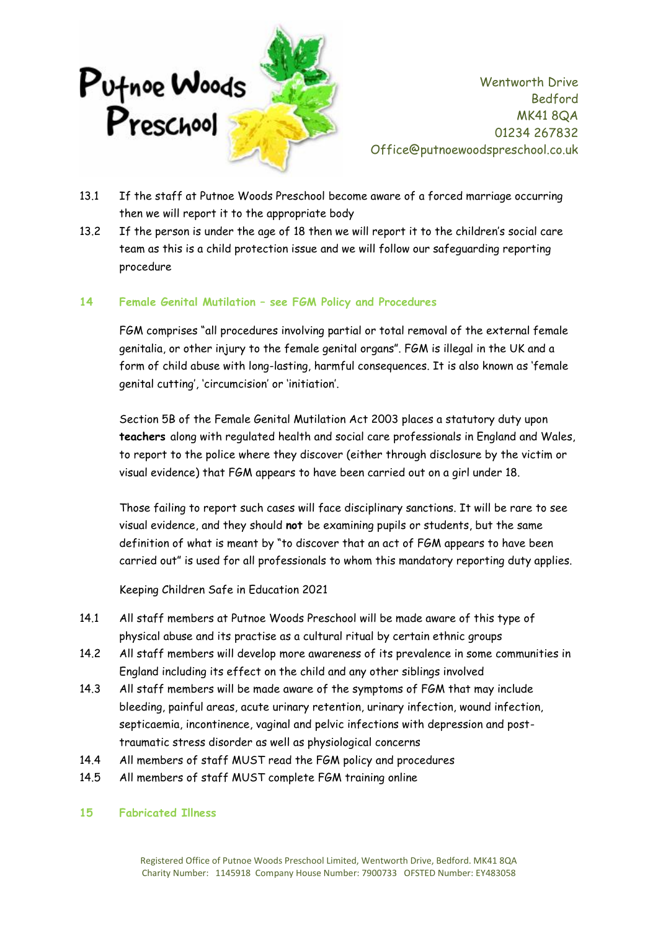

- 13.1 If the staff at Putnoe Woods Preschool become aware of a forced marriage occurring then we will report it to the appropriate body
- 13.2 If the person is under the age of 18 then we will report it to the children's social care team as this is a child protection issue and we will follow our safeguarding reporting procedure

#### **14 Female Genital Mutilation – see FGM Policy and Procedures**

FGM comprises "all procedures involving partial or total removal of the external female genitalia, or other injury to the female genital organs". FGM is illegal in the UK and a form of child abuse with long-lasting, harmful consequences. It is also known as 'female genital cutting', 'circumcision' or 'initiation'.

Section 5B of the Female Genital Mutilation Act 2003 places a statutory duty upon **teachers** along with regulated health and social care professionals in England and Wales, to report to the police where they discover (either through disclosure by the victim or visual evidence) that FGM appears to have been carried out on a girl under 18.

Those failing to report such cases will face disciplinary sanctions. It will be rare to see visual evidence, and they should **not** be examining pupils or students, but the same definition of what is meant by "to discover that an act of FGM appears to have been carried out" is used for all professionals to whom this mandatory reporting duty applies.

Keeping Children Safe in Education 2021

- 14.1 All staff members at Putnoe Woods Preschool will be made aware of this type of physical abuse and its practise as a cultural ritual by certain ethnic groups
- 14.2 All staff members will develop more awareness of its prevalence in some communities in England including its effect on the child and any other siblings involved
- 14.3 All staff members will be made aware of the symptoms of FGM that may include bleeding, painful areas, acute urinary retention, urinary infection, wound infection, septicaemia, incontinence, vaginal and pelvic infections with depression and posttraumatic stress disorder as well as physiological concerns
- 14.4 All members of staff MUST read the FGM policy and procedures
- 14.5 All members of staff MUST complete FGM training online

#### **15 Fabricated Illness**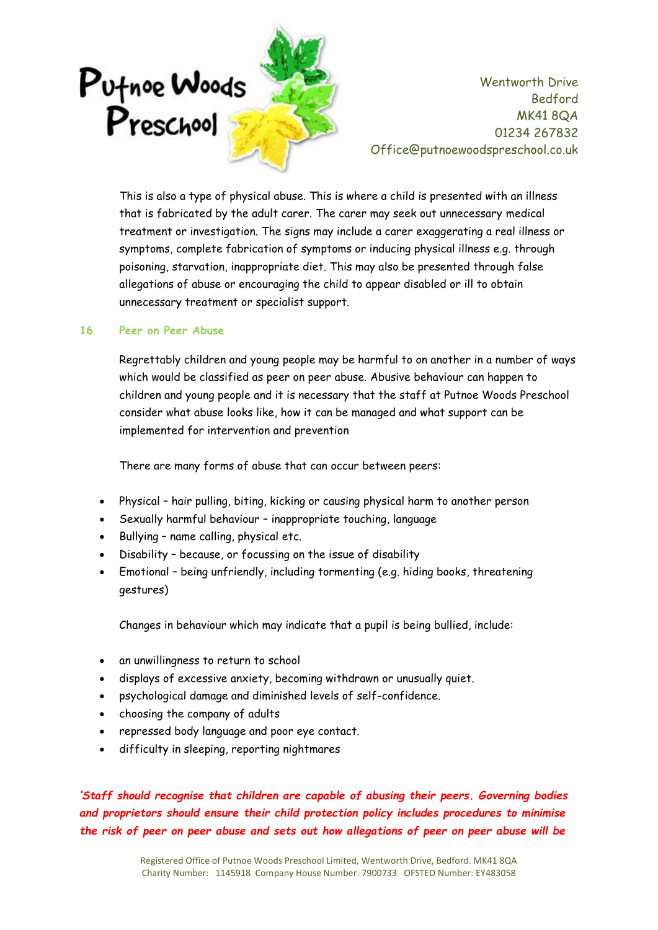

This is also a type of physical abuse. This is where a child is presented with an illness that is fabricated by the adult carer. The carer may seek out unnecessary medical treatment or investigation. The signs may include a carer exaggerating a real illness or symptoms, complete fabrication of symptoms or inducing physical illness e.g. through poisoning, starvation, inappropriate diet. This may also be presented through false allegations of abuse or encouraging the child to appear disabled or ill to obtain unnecessary treatment or specialist support.

#### **16 Peer on Peer Abuse**

Regrettably children and young people may be harmful to on another in a number of ways which would be classified as peer on peer abuse. Abusive behaviour can happen to children and young people and it is necessary that the staff at Putnoe Woods Preschool consider what abuse looks like, how it can be managed and what support can be implemented for intervention and prevention

There are many forms of abuse that can occur between peers:

- Physical hair pulling, biting, kicking or causing physical harm to another person
- Sexually harmful behaviour inappropriate touching, language
- Bullying name calling, physical etc.
- Disability because, or focussing on the issue of disability
- Emotional being unfriendly, including tormenting (e.g. hiding books, threatening gestures)

Changes in behaviour which may indicate that a pupil is being bullied, include:

- an unwillingness to return to school
- displays of excessive anxiety, becoming withdrawn or unusually quiet.
- psychological damage and diminished levels of self-confidence.
- choosing the company of adults
- repressed body language and poor eye contact.
- difficulty in sleeping, reporting nightmares

*'Staff should recognise that children are capable of abusing their peers. Governing bodies and proprietors should ensure their child protection policy includes procedures to minimise the risk of peer on peer abuse and sets out how allegations of peer on peer abuse will be*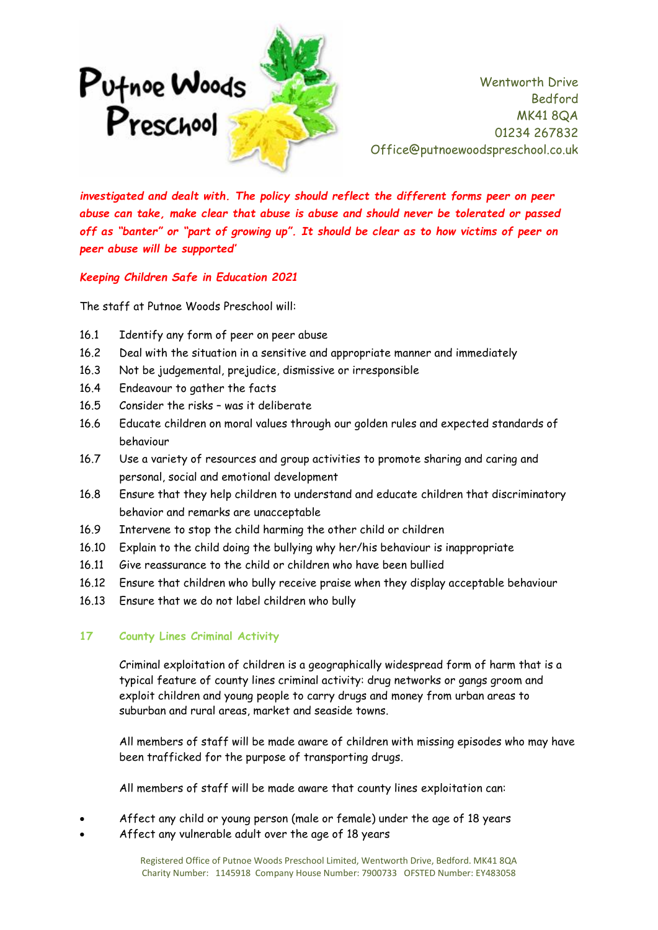

*investigated and dealt with. The policy should reflect the different forms peer on peer abuse can take, make clear that abuse is abuse and should never be tolerated or passed off as "banter" or "part of growing up". It should be clear as to how victims of peer on peer abuse will be supported'*

*Keeping Children Safe in Education 2021*

The staff at Putnoe Woods Preschool will:

- 16.1 Identify any form of peer on peer abuse
- 16.2 Deal with the situation in a sensitive and appropriate manner and immediately
- 16.3 Not be judgemental, prejudice, dismissive or irresponsible
- 16.4 Endeavour to gather the facts
- 16.5 Consider the risks was it deliberate
- 16.6 Educate children on moral values through our golden rules and expected standards of behaviour
- 16.7 Use a variety of resources and group activities to promote sharing and caring and personal, social and emotional development
- 16.8 Ensure that they help children to understand and educate children that discriminatory behavior and remarks are unacceptable
- 16.9 Intervene to stop the child harming the other child or children
- 16.10 Explain to the child doing the bullying why her/his behaviour is inappropriate
- 16.11 Give reassurance to the child or children who have been bullied
- 16.12 Ensure that children who bully receive praise when they display acceptable behaviour
- 16.13 Ensure that we do not label children who bully

#### **17 County Lines Criminal Activity**

Criminal exploitation of children is a geographically widespread form of harm that is a typical feature of county lines criminal activity: drug networks or gangs groom and exploit children and young people to carry drugs and money from urban areas to suburban and rural areas, market and seaside towns.

All members of staff will be made aware of children with missing episodes who may have been trafficked for the purpose of transporting drugs.

All members of staff will be made aware that county lines exploitation can:

- Affect any child or young person (male or female) under the age of 18 years
- Affect any vulnerable adult over the age of 18 years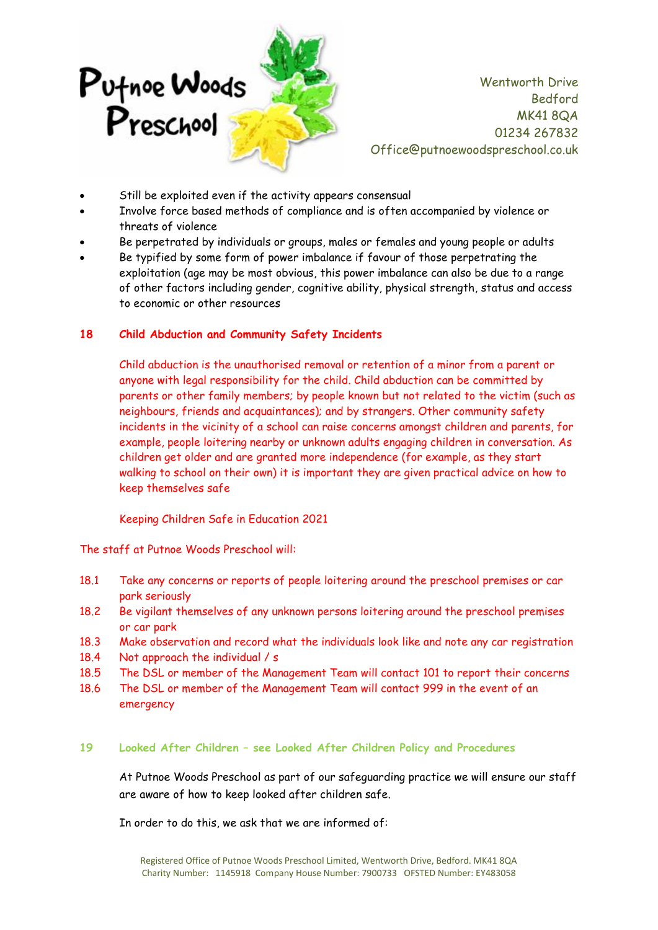

- Still be exploited even if the activity appears consensual
- Involve force based methods of compliance and is often accompanied by violence or threats of violence
- Be perpetrated by individuals or groups, males or females and young people or adults
- Be typified by some form of power imbalance if favour of those perpetrating the exploitation (age may be most obvious, this power imbalance can also be due to a range of other factors including gender, cognitive ability, physical strength, status and access to economic or other resources

#### **18 Child Abduction and Community Safety Incidents**

Child abduction is the unauthorised removal or retention of a minor from a parent or anyone with legal responsibility for the child. Child abduction can be committed by parents or other family members; by people known but not related to the victim (such as neighbours, friends and acquaintances); and by strangers. Other community safety incidents in the vicinity of a school can raise concerns amongst children and parents, for example, people loitering nearby or unknown adults engaging children in conversation. As children get older and are granted more independence (for example, as they start walking to school on their own) it is important they are given practical advice on how to keep themselves safe

#### Keeping Children Safe in Education 2021

The staff at Putnoe Woods Preschool will:

- 18.1 Take any concerns or reports of people loitering around the preschool premises or car park seriously
- 18.2 Be vigilant themselves of any unknown persons loitering around the preschool premises or car park
- 18.3 Make observation and record what the individuals look like and note any car registration
- 18.4 Not approach the individual / s
- 18.5 The DSL or member of the Management Team will contact 101 to report their concerns
- 18.6 The DSL or member of the Management Team will contact 999 in the event of an emergency

#### **19 Looked After Children – see Looked After Children Policy and Procedures**

At Putnoe Woods Preschool as part of our safeguarding practice we will ensure our staff are aware of how to keep looked after children safe.

In order to do this, we ask that we are informed of: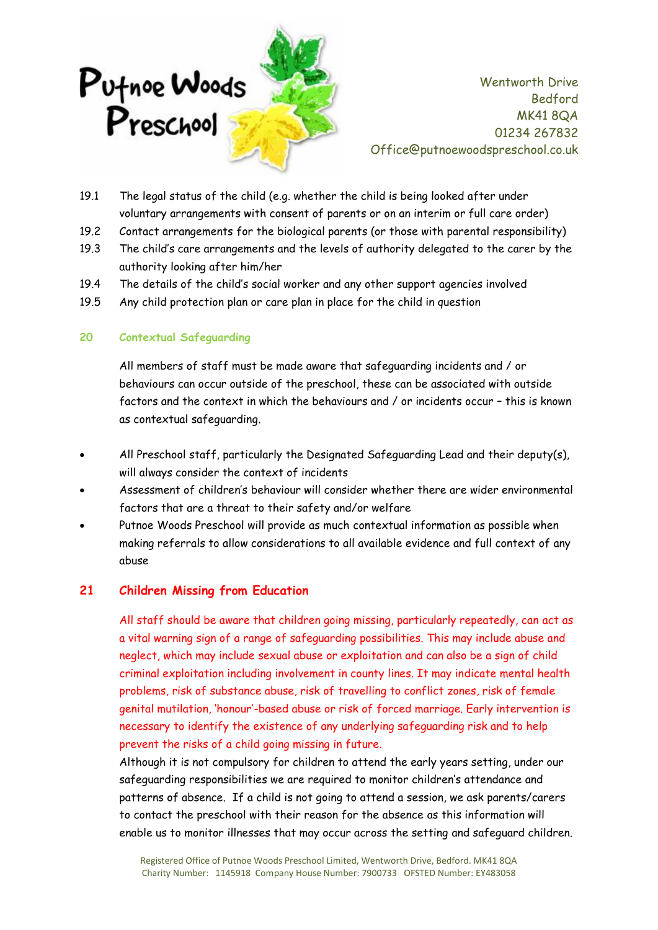

- 19.1 The legal status of the child (e.g. whether the child is being looked after under voluntary arrangements with consent of parents or on an interim or full care order)
- 19.2 Contact arrangements for the biological parents (or those with parental responsibility)
- 19.3 The child's care arrangements and the levels of authority delegated to the carer by the authority looking after him/her
- 19.4 The details of the child's social worker and any other support agencies involved
- 19.5 Any child protection plan or care plan in place for the child in question

#### **20 Contextual Safeguarding**

All members of staff must be made aware that safeguarding incidents and / or behaviours can occur outside of the preschool, these can be associated with outside factors and the context in which the behaviours and / or incidents occur – this is known as contextual safeguarding.

- All Preschool staff, particularly the Designated Safeguarding Lead and their deputy(s), will always consider the context of incidents
- Assessment of children's behaviour will consider whether there are wider environmental factors that are a threat to their safety and/or welfare
- Putnoe Woods Preschool will provide as much contextual information as possible when making referrals to allow considerations to all available evidence and full context of any abuse

## **21 Children Missing from Education**

All staff should be aware that children going missing, particularly repeatedly, can act as a vital warning sign of a range of safeguarding possibilities. This may include abuse and neglect, which may include sexual abuse or exploitation and can also be a sign of child criminal exploitation including involvement in county lines. It may indicate mental health problems, risk of substance abuse, risk of travelling to conflict zones, risk of female genital mutilation, 'honour'-based abuse or risk of forced marriage. Early intervention is necessary to identify the existence of any underlying safeguarding risk and to help prevent the risks of a child going missing in future.

Although it is not compulsory for children to attend the early years setting, under our safeguarding responsibilities we are required to monitor children's attendance and patterns of absence. If a child is not going to attend a session, we ask parents/carers to contact the preschool with their reason for the absence as this information will enable us to monitor illnesses that may occur across the setting and safeguard children.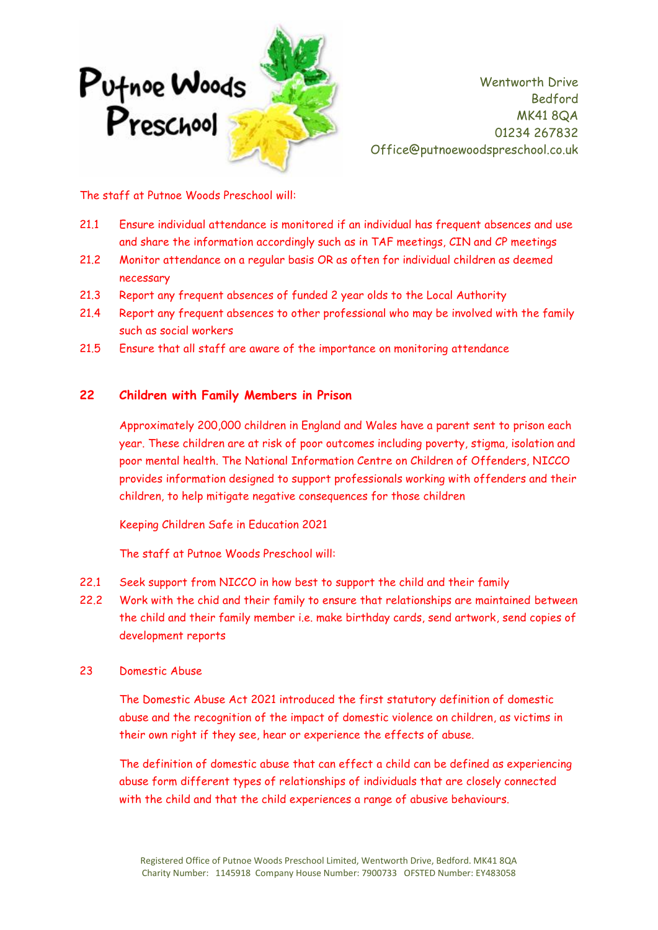

The staff at Putnoe Woods Preschool will:

- 21.1 Ensure individual attendance is monitored if an individual has frequent absences and use and share the information accordingly such as in TAF meetings, CIN and CP meetings
- 21.2 Monitor attendance on a regular basis OR as often for individual children as deemed necessary
- 21.3 Report any frequent absences of funded 2 year olds to the Local Authority
- 21.4 Report any frequent absences to other professional who may be involved with the family such as social workers
- 21.5 Ensure that all staff are aware of the importance on monitoring attendance

## **22 Children with Family Members in Prison**

Approximately 200,000 children in England and Wales have a parent sent to prison each year. These children are at risk of poor outcomes including poverty, stigma, isolation and poor mental health. The National Information Centre on Children of Offenders, NICCO provides information designed to support professionals working with offenders and their children, to help mitigate negative consequences for those children

Keeping Children Safe in Education 2021

The staff at Putnoe Woods Preschool will:

- 22.1 Seek support from NICCO in how best to support the child and their family
- 22.2 Work with the chid and their family to ensure that relationships are maintained between the child and their family member i.e. make birthday cards, send artwork, send copies of development reports

#### 23 Domestic Abuse

The Domestic Abuse Act 2021 introduced the first statutory definition of domestic abuse and the recognition of the impact of domestic violence on children, as victims in their own right if they see, hear or experience the effects of abuse.

The definition of domestic abuse that can effect a child can be defined as experiencing abuse form different types of relationships of individuals that are closely connected with the child and that the child experiences a range of abusive behaviours.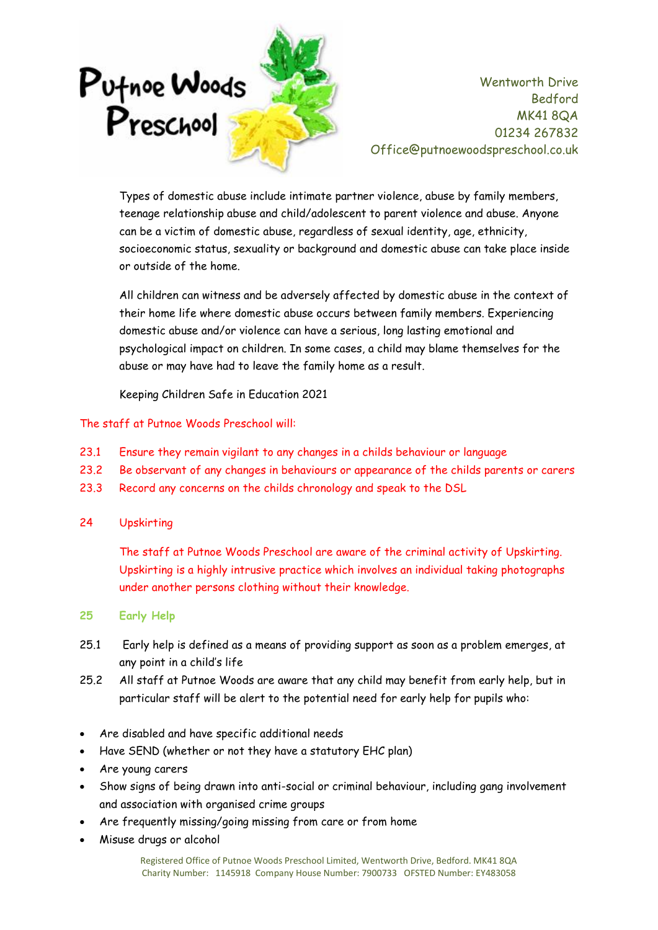

Types of domestic abuse include intimate partner violence, abuse by family members, teenage relationship abuse and child/adolescent to parent violence and abuse. Anyone can be a victim of domestic abuse, regardless of sexual identity, age, ethnicity, socioeconomic status, sexuality or background and domestic abuse can take place inside or outside of the home.

All children can witness and be adversely affected by domestic abuse in the context of their home life where domestic abuse occurs between family members. Experiencing domestic abuse and/or violence can have a serious, long lasting emotional and psychological impact on children. In some cases, a child may blame themselves for the abuse or may have had to leave the family home as a result.

Keeping Children Safe in Education 2021

## The staff at Putnoe Woods Preschool will:

- 23.1 Ensure they remain vigilant to any changes in a childs behaviour or language
- 23.2 Be observant of any changes in behaviours or appearance of the childs parents or carers
- 23.3 Record any concerns on the childs chronology and speak to the DSL
- 24 Upskirting

The staff at Putnoe Woods Preschool are aware of the criminal activity of Upskirting. Upskirting is a highly intrusive practice which involves an individual taking photographs under another persons clothing without their knowledge.

#### **25 Early Help**

- 25.1 Early help is defined as a means of providing support as soon as a problem emerges, at any point in a child's life
- 25.2 All staff at Putnoe Woods are aware that any child may benefit from early help, but in particular staff will be alert to the potential need for early help for pupils who:
- Are disabled and have specific additional needs
- Have SEND (whether or not they have a statutory EHC plan)
- Are young carers
- Show signs of being drawn into anti-social or criminal behaviour, including gang involvement and association with organised crime groups
- Are frequently missing/going missing from care or from home
- Misuse drugs or alcohol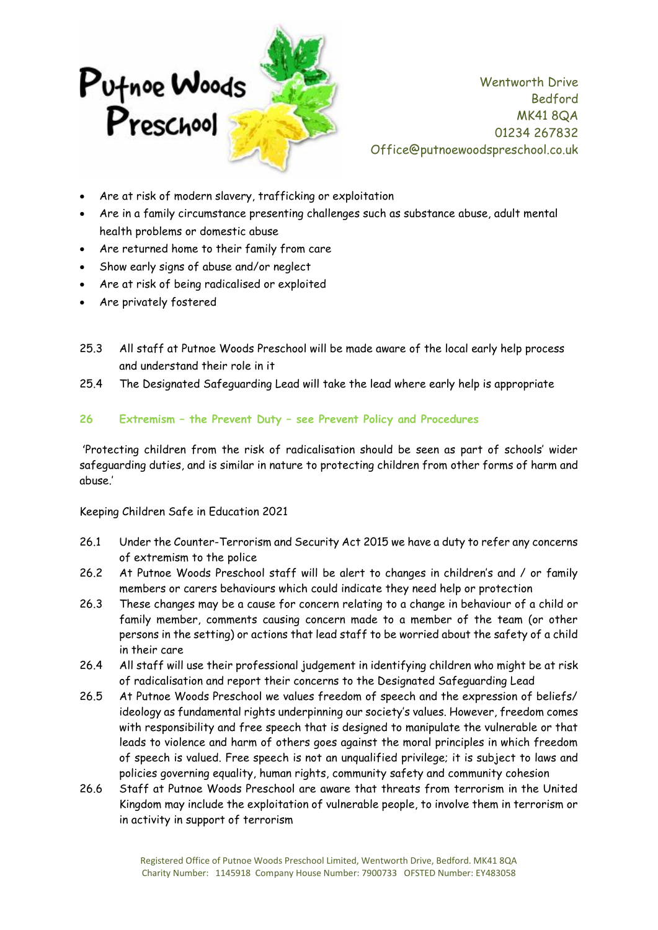

- Are at risk of modern slavery, trafficking or exploitation
- Are in a family circumstance presenting challenges such as substance abuse, adult mental health problems or domestic abuse
- Are returned home to their family from care
- Show early signs of abuse and/or neglect
- Are at risk of being radicalised or exploited
- Are privately fostered
- 25.3 All staff at Putnoe Woods Preschool will be made aware of the local early help process and understand their role in it
- 25.4 The Designated Safeguarding Lead will take the lead where early help is appropriate

#### **26 Extremism – the Prevent Duty – see Prevent Policy and Procedures**

'Protecting children from the risk of radicalisation should be seen as part of schools' wider safeguarding duties, and is similar in nature to protecting children from other forms of harm and abuse.'

#### Keeping Children Safe in Education 2021

- 26.1 Under the Counter-Terrorism and Security Act 2015 we have a duty to refer any concerns of extremism to the police
- 26.2 At Putnoe Woods Preschool staff will be alert to changes in children's and / or family members or carers behaviours which could indicate they need help or protection
- 26.3 These changes may be a cause for concern relating to a change in behaviour of a child or family member, comments causing concern made to a member of the team (or other persons in the setting) or actions that lead staff to be worried about the safety of a child in their care
- 26.4 All staff will use their professional judgement in identifying children who might be at risk of radicalisation and report their concerns to the Designated Safeguarding Lead
- 26.5 At Putnoe Woods Preschool we values freedom of speech and the expression of beliefs/ ideology as fundamental rights underpinning our society's values. However, freedom comes with responsibility and free speech that is designed to manipulate the vulnerable or that leads to violence and harm of others goes against the moral principles in which freedom of speech is valued. Free speech is not an unqualified privilege; it is subject to laws and policies governing equality, human rights, community safety and community cohesion
- 26.6 Staff at Putnoe Woods Preschool are aware that threats from terrorism in the United Kingdom may include the exploitation of vulnerable people, to involve them in terrorism or in activity in support of terrorism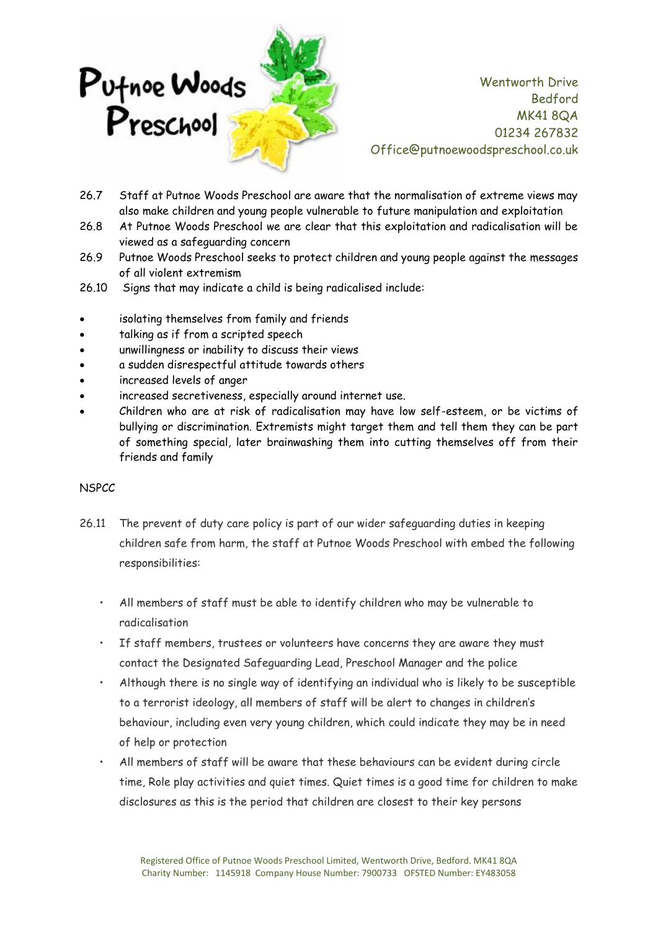

- 26.7 Staff at Putnoe Woods Preschool are aware that the normalisation of extreme views may also make children and young people vulnerable to future manipulation and exploitation
- 26.8 At Putnoe Woods Preschool we are clear that this exploitation and radicalisation will be viewed as a safeguarding concern
- 26.9 Putnoe Woods Preschool seeks to protect children and young people against the messages of all violent extremism
- 26.10 Signs that may indicate a child is being radicalised include:
- isolating themselves from family and friends
- talking as if from a scripted speech
- unwillingness or inability to discuss their views
- a sudden disrespectful attitude towards others
- increased levels of anger
- increased secretiveness, especially around internet use.
- Children who are at risk of radicalisation may have low self-esteem, or be victims of bullying or discrimination. Extremists might target them and tell them they can be part of something special, later brainwashing them into cutting themselves off from their friends and family

#### **NSPCC**

- 26.11 The prevent of duty care policy is part of our wider safeguarding duties in keeping children safe from harm, the staff at Putnoe Woods Preschool with embed the following responsibilities:
	- All members of staff must be able to identify children who may be vulnerable to radicalisation
	- If staff members, trustees or volunteers have concerns they are aware they must contact the Designated Safeguarding Lead, Preschool Manager and the police
	- Although there is no single way of identifying an individual who is likely to be susceptible to a terrorist ideology, all members of staff will be alert to changes in children's behaviour, including even very young children, which could indicate they may be in need of help or protection
	- All members of staff will be aware that these behaviours can be evident during circle time, Role play activities and quiet times. Quiet times is a good time for children to make disclosures as this is the period that children are closest to their key persons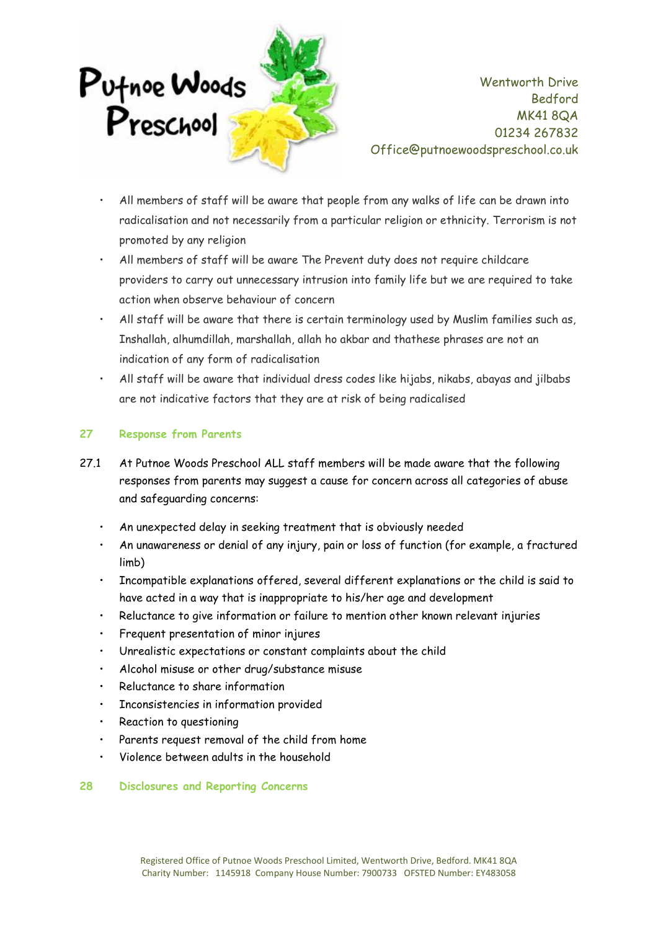

- All members of staff will be aware that people from any walks of life can be drawn into radicalisation and not necessarily from a particular religion or ethnicity. Terrorism is not promoted by any religion
- All members of staff will be aware The Prevent duty does not require childcare providers to carry out unnecessary intrusion into family life but we are required to take action when observe behaviour of concern
- All staff will be aware that there is certain terminology used by Muslim families such as, Inshallah, alhumdillah, marshallah, allah ho akbar and thathese phrases are not an indication of any form of radicalisation
- All staff will be aware that individual dress codes like hijabs, nikabs, abayas and jilbabs are not indicative factors that they are at risk of being radicalised

#### **27 Response from Parents**

- 27.1 At Putnoe Woods Preschool ALL staff members will be made aware that the following responses from parents may suggest a cause for concern across all categories of abuse and safeguarding concerns:
	- An unexpected delay in seeking treatment that is obviously needed
	- An unawareness or denial of any injury, pain or loss of function (for example, a fractured limb)
	- Incompatible explanations offered, several different explanations or the child is said to have acted in a way that is inappropriate to his/her age and development
	- Reluctance to give information or failure to mention other known relevant injuries
	- Frequent presentation of minor injures
	- Unrealistic expectations or constant complaints about the child
	- Alcohol misuse or other drug/substance misuse
	- Reluctance to share information
	- Inconsistencies in information provided
	- Reaction to questioning
	- Parents request removal of the child from home
	- Violence between adults in the household

#### **28 Disclosures and Reporting Concerns**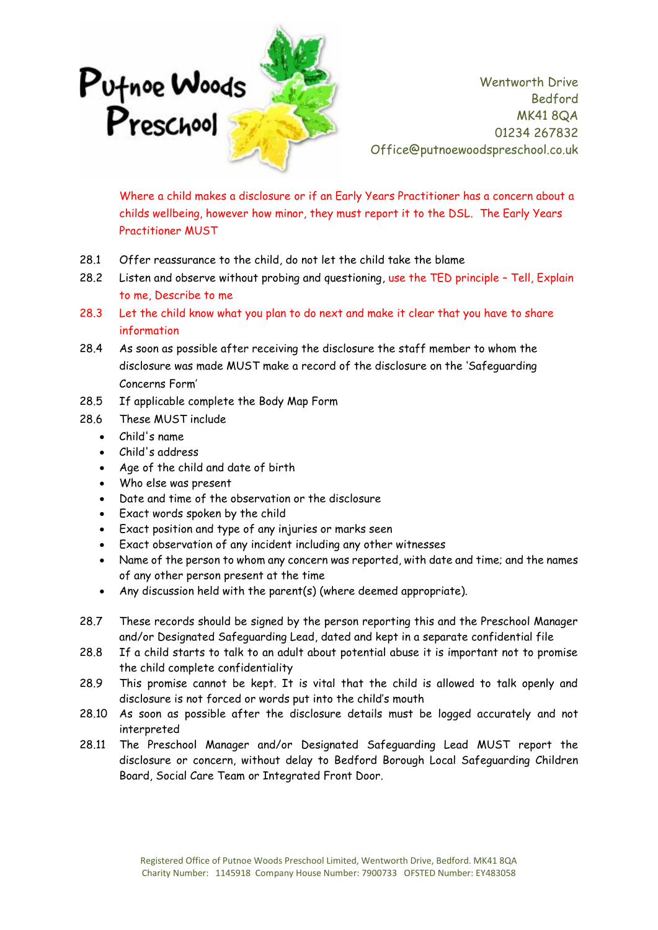

Where a child makes a disclosure or if an Early Years Practitioner has a concern about a childs wellbeing, however how minor, they must report it to the DSL. The Early Years Practitioner MUST

- 28.1 Offer reassurance to the child, do not let the child take the blame
- 28.2 Listen and observe without probing and questioning, use the TED principle Tell, Explain to me, Describe to me
- 28.3 Let the child know what you plan to do next and make it clear that you have to share information
- 28.4 As soon as possible after receiving the disclosure the staff member to whom the disclosure was made MUST make a record of the disclosure on the 'Safeguarding Concerns Form'
- 28.5 If applicable complete the Body Map Form
- 28.6 These MUST include
	- Child's name
	- Child's address
	- Age of the child and date of birth
	- Who else was present
	- Date and time of the observation or the disclosure
	- Exact words spoken by the child
	- Exact position and type of any injuries or marks seen
	- Exact observation of any incident including any other witnesses
	- Name of the person to whom any concern was reported, with date and time; and the names of any other person present at the time
	- Any discussion held with the parent(s) (where deemed appropriate).
- 28.7 These records should be signed by the person reporting this and the Preschool Manager and/or Designated Safeguarding Lead, dated and kept in a separate confidential file
- 28.8 If a child starts to talk to an adult about potential abuse it is important not to promise the child complete confidentiality
- 28.9 This promise cannot be kept. It is vital that the child is allowed to talk openly and disclosure is not forced or words put into the child's mouth
- 28.10 As soon as possible after the disclosure details must be logged accurately and not interpreted
- 28.11 The Preschool Manager and/or Designated Safeguarding Lead MUST report the disclosure or concern, without delay to Bedford Borough Local Safeguarding Children Board, Social Care Team or Integrated Front Door.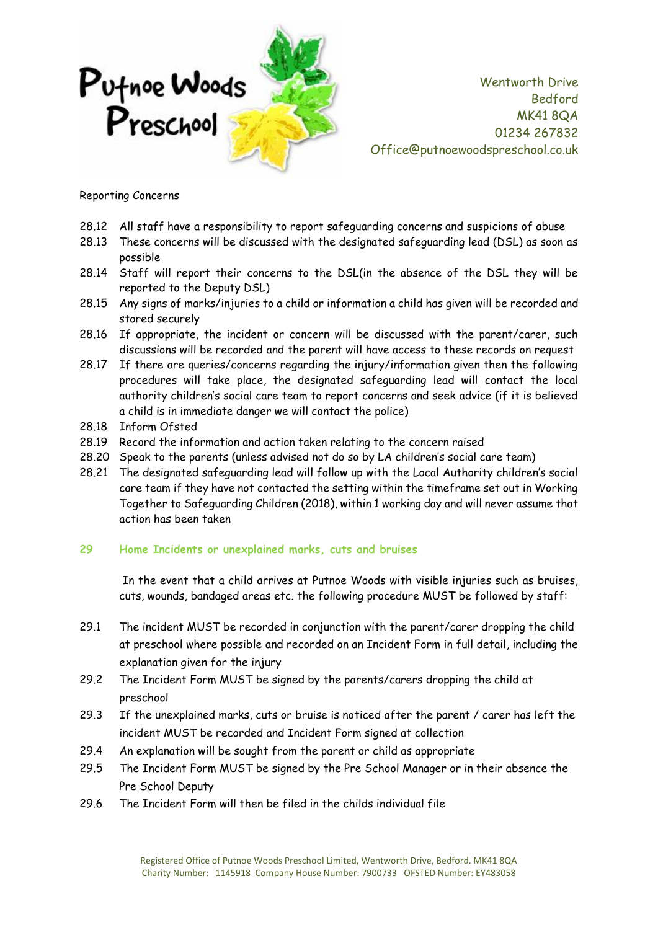

#### Reporting Concerns

- 28.12 All staff have a responsibility to report safeguarding concerns and suspicions of abuse
- 28.13 These concerns will be discussed with the designated safeguarding lead (DSL) as soon as possible
- 28.14 Staff will report their concerns to the DSL(in the absence of the DSL they will be reported to the Deputy DSL)
- 28.15 Any signs of marks/injuries to a child or information a child has given will be recorded and stored securely
- 28.16 If appropriate, the incident or concern will be discussed with the parent/carer, such discussions will be recorded and the parent will have access to these records on request
- 28.17 If there are queries/concerns regarding the injury/information given then the following procedures will take place, the designated safeguarding lead will contact the local authority children's social care team to report concerns and seek advice (if it is believed a child is in immediate danger we will contact the police)
- 28.18 Inform Ofsted
- 28.19 Record the information and action taken relating to the concern raised
- 28.20 Speak to the parents (unless advised not do so by LA children's social care team)
- 28.21 The designated safeguarding lead will follow up with the Local Authority children's social care team if they have not contacted the setting within the timeframe set out in Working Together to Safeguarding Children (2018), within 1 working day and will never assume that action has been taken

#### **29 Home Incidents or unexplained marks, cuts and bruises**

In the event that a child arrives at Putnoe Woods with visible injuries such as bruises, cuts, wounds, bandaged areas etc. the following procedure MUST be followed by staff:

- 29.1 The incident MUST be recorded in conjunction with the parent/carer dropping the child at preschool where possible and recorded on an Incident Form in full detail, including the explanation given for the injury
- 29.2 The Incident Form MUST be signed by the parents/carers dropping the child at preschool
- 29.3 If the unexplained marks, cuts or bruise is noticed after the parent / carer has left the incident MUST be recorded and Incident Form signed at collection
- 29.4 An explanation will be sought from the parent or child as appropriate
- 29.5 The Incident Form MUST be signed by the Pre School Manager or in their absence the Pre School Deputy
- 29.6 The Incident Form will then be filed in the childs individual file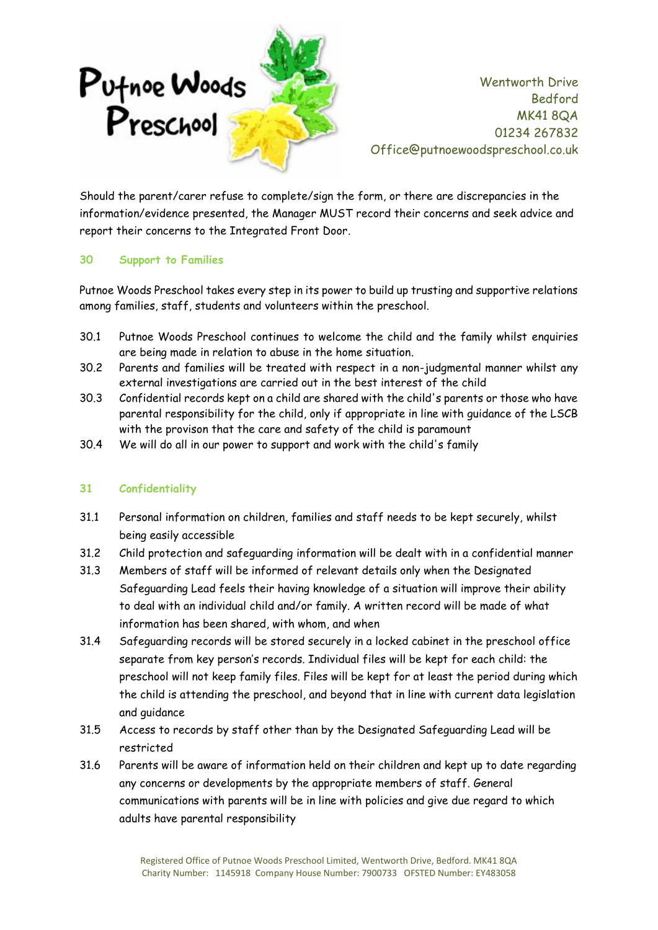

Should the parent/carer refuse to complete/sign the form, or there are discrepancies in the information/evidence presented, the Manager MUST record their concerns and seek advice and report their concerns to the Integrated Front Door.

#### **30 Support to Families**

Putnoe Woods Preschool takes every step in its power to build up trusting and supportive relations among families, staff, students and volunteers within the preschool.

- 30.1 Putnoe Woods Preschool continues to welcome the child and the family whilst enquiries are being made in relation to abuse in the home situation.
- 30.2 Parents and families will be treated with respect in a non-judgmental manner whilst any external investigations are carried out in the best interest of the child
- 30.3 Confidential records kept on a child are shared with the child's parents or those who have parental responsibility for the child, only if appropriate in line with guidance of the LSCB with the provison that the care and safety of the child is paramount
- 30.4 We will do all in our power to support and work with the child's family

#### **31 Confidentiality**

- 31.1 Personal information on children, families and staff needs to be kept securely, whilst being easily accessible
- 31.2 Child protection and safeguarding information will be dealt with in a confidential manner
- 31.3 Members of staff will be informed of relevant details only when the Designated Safeguarding Lead feels their having knowledge of a situation will improve their ability to deal with an individual child and/or family. A written record will be made of what information has been shared, with whom, and when
- 31.4 Safeguarding records will be stored securely in a locked cabinet in the preschool office separate from key person's records. Individual files will be kept for each child: the preschool will not keep family files. Files will be kept for at least the period during which the child is attending the preschool, and beyond that in line with current data legislation and guidance
- 31.5 Access to records by staff other than by the Designated Safeguarding Lead will be restricted
- 31.6 Parents will be aware of information held on their children and kept up to date regarding any concerns or developments by the appropriate members of staff. General communications with parents will be in line with policies and give due regard to which adults have parental responsibility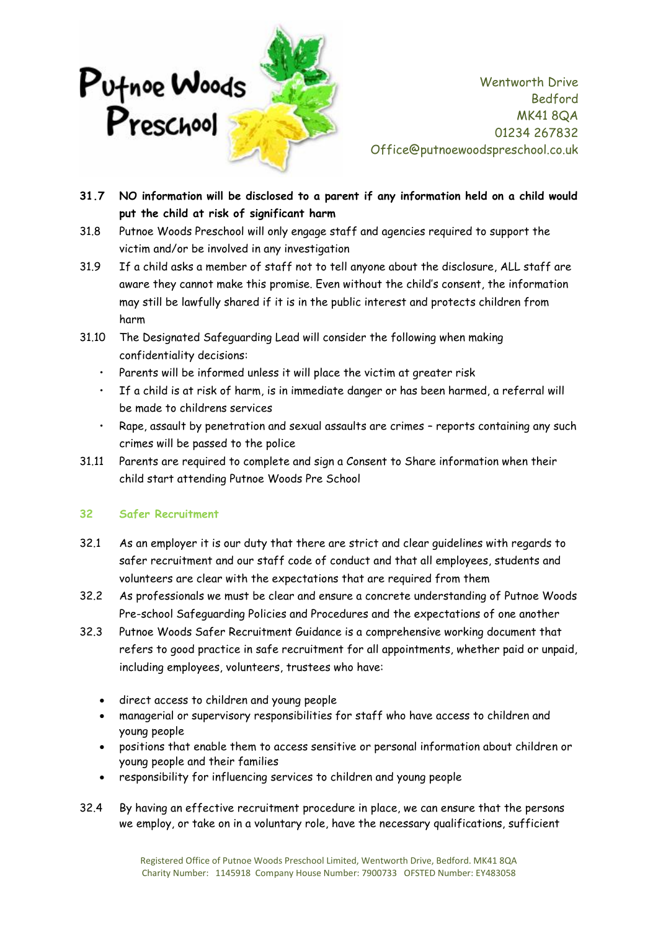

- **31.7 NO information will be disclosed to a parent if any information held on a child would put the child at risk of significant harm**
- 31.8 Putnoe Woods Preschool will only engage staff and agencies required to support the victim and/or be involved in any investigation
- 31.9 If a child asks a member of staff not to tell anyone about the disclosure, ALL staff are aware they cannot make this promise. Even without the child's consent, the information may still be lawfully shared if it is in the public interest and protects children from harm
- 31.10 The Designated Safeguarding Lead will consider the following when making confidentiality decisions:
	- Parents will be informed unless it will place the victim at greater risk
	- If a child is at risk of harm, is in immediate danger or has been harmed, a referral will be made to childrens services
	- Rape, assault by penetration and sexual assaults are crimes reports containing any such crimes will be passed to the police
- 31.11 Parents are required to complete and sign a Consent to Share information when their child start attending Putnoe Woods Pre School

# **32 Safer Recruitment**

- 32.1 As an employer it is our duty that there are strict and clear guidelines with regards to safer recruitment and our staff code of conduct and that all employees, students and volunteers are clear with the expectations that are required from them
- 32.2 As professionals we must be clear and ensure a concrete understanding of Putnoe Woods Pre-school Safeguarding Policies and Procedures and the expectations of one another
- 32.3 Putnoe Woods Safer Recruitment Guidance is a comprehensive working document that refers to good practice in safe recruitment for all appointments, whether paid or unpaid, including employees, volunteers, trustees who have:
	- direct access to children and young people
	- managerial or supervisory responsibilities for staff who have access to children and young people
	- positions that enable them to access sensitive or personal information about children or young people and their families
	- responsibility for influencing services to children and young people
- 32.4 By having an effective recruitment procedure in place, we can ensure that the persons we employ, or take on in a voluntary role, have the necessary qualifications, sufficient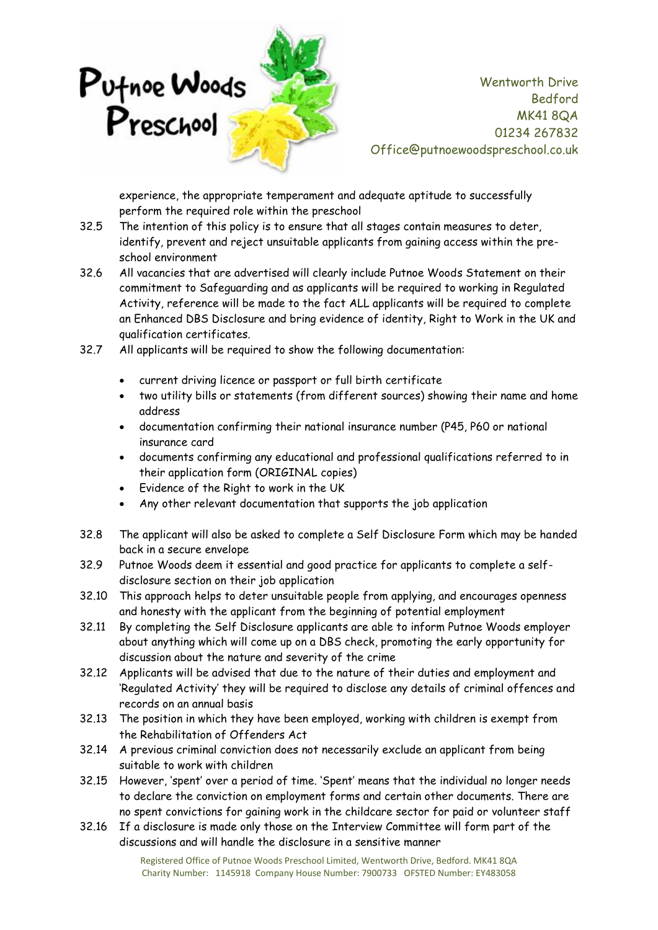

experience, the appropriate temperament and adequate aptitude to successfully perform the required role within the preschool

- 32.5 The intention of this policy is to ensure that all stages contain measures to deter, identify, prevent and reject unsuitable applicants from gaining access within the preschool environment
- 32.6 All vacancies that are advertised will clearly include Putnoe Woods Statement on their commitment to Safeguarding and as applicants will be required to working in Regulated Activity, reference will be made to the fact ALL applicants will be required to complete an Enhanced DBS Disclosure and bring evidence of identity, Right to Work in the UK and qualification certificates.
- 32.7 All applicants will be required to show the following documentation:
	- current driving licence or passport or full birth certificate
	- two utility bills or statements (from different sources) showing their name and home address
	- documentation confirming their national insurance number (P45, P60 or national insurance card
	- documents confirming any educational and professional qualifications referred to in their application form (ORIGINAL copies)
	- Evidence of the Right to work in the UK
	- Any other relevant documentation that supports the job application
- 32.8 The applicant will also be asked to complete a Self Disclosure Form which may be handed back in a secure envelope
- 32.9 Putnoe Woods deem it essential and good practice for applicants to complete a selfdisclosure section on their job application
- 32.10 This approach helps to deter unsuitable people from applying, and encourages openness and honesty with the applicant from the beginning of potential employment
- 32.11 By completing the Self Disclosure applicants are able to inform Putnoe Woods employer about anything which will come up on a DBS check, promoting the early opportunity for discussion about the nature and severity of the crime
- 32.12 Applicants will be advised that due to the nature of their duties and employment and 'Regulated Activity' they will be required to disclose any details of criminal offences and records on an annual basis
- 32.13 The position in which they have been employed, working with children is exempt from the Rehabilitation of Offenders Act
- 32.14 A previous criminal conviction does not necessarily exclude an applicant from being suitable to work with children
- 32.15 However, 'spent' over a period of time. 'Spent' means that the individual no longer needs to declare the conviction on employment forms and certain other documents. There are no spent convictions for gaining work in the childcare sector for paid or volunteer staff
- 32.16 If a disclosure is made only those on the Interview Committee will form part of the discussions and will handle the disclosure in a sensitive manner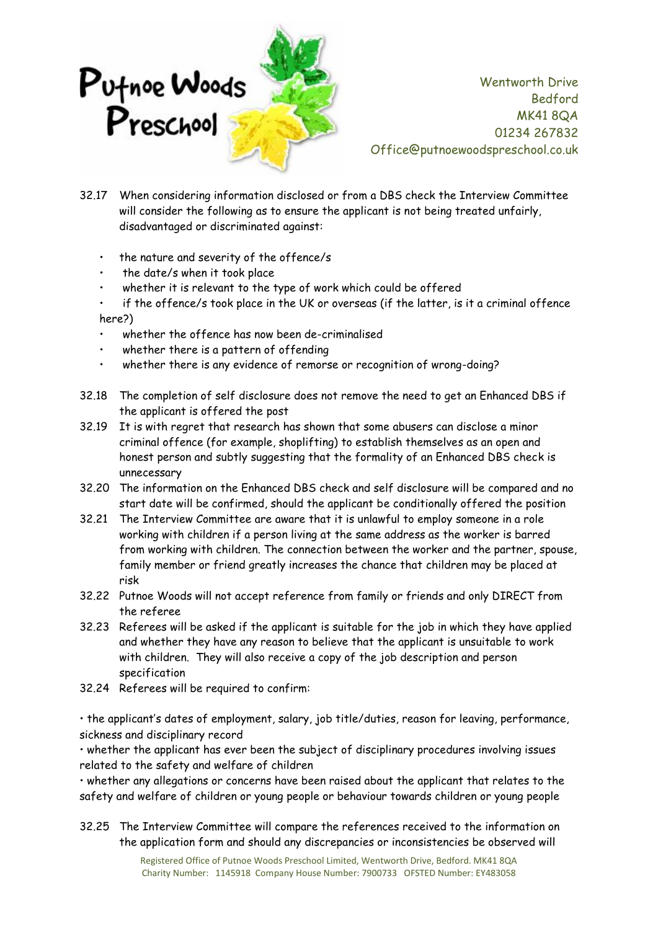

- 32.17 When considering information disclosed or from a DBS check the Interview Committee will consider the following as to ensure the applicant is not being treated unfairly, disadvantaged or discriminated against:
	- the nature and severity of the offence/s
	- the date/s when it took place
	- whether it is relevant to the type of work which could be offered
	- if the offence/s took place in the UK or overseas (if the latter, is it a criminal offence here?)
	- whether the offence has now been de-criminalised
	- whether there is a pattern of offending
	- whether there is any evidence of remorse or recognition of wrong-doing?
- 32.18 The completion of self disclosure does not remove the need to get an Enhanced DBS if the applicant is offered the post
- 32.19 It is with regret that research has shown that some abusers can disclose a minor criminal offence (for example, shoplifting) to establish themselves as an open and honest person and subtly suggesting that the formality of an Enhanced DBS check is unnecessary
- 32.20 The information on the Enhanced DBS check and self disclosure will be compared and no start date will be confirmed, should the applicant be conditionally offered the position
- 32.21 The Interview Committee are aware that it is unlawful to employ someone in a role working with children if a person living at the same address as the worker is barred from working with children. The connection between the worker and the partner, spouse, family member or friend greatly increases the chance that children may be placed at risk
- 32.22 Putnoe Woods will not accept reference from family or friends and only DIRECT from the referee
- 32.23 Referees will be asked if the applicant is suitable for the job in which they have applied and whether they have any reason to believe that the applicant is unsuitable to work with children. They will also receive a copy of the job description and person specification
- 32.24 Referees will be required to confirm:

• the applicant's dates of employment, salary, job title/duties, reason for leaving, performance, sickness and disciplinary record

• whether the applicant has ever been the subject of disciplinary procedures involving issues related to the safety and welfare of children

• whether any allegations or concerns have been raised about the applicant that relates to the safety and welfare of children or young people or behaviour towards children or young people

32.25 The Interview Committee will compare the references received to the information on the application form and should any discrepancies or inconsistencies be observed will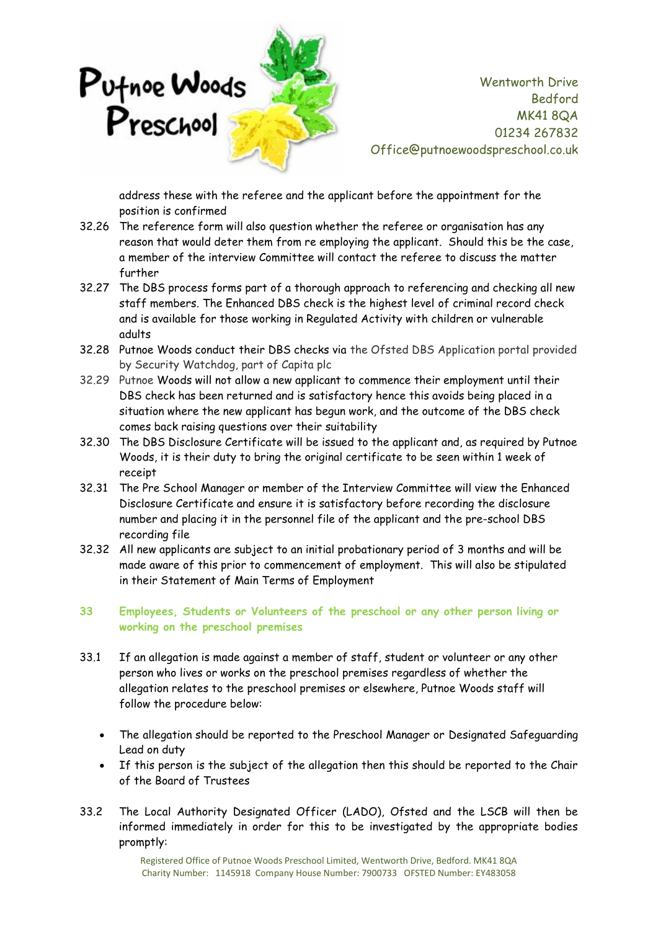

address these with the referee and the applicant before the appointment for the position is confirmed

- 32.26 The reference form will also question whether the referee or organisation has any reason that would deter them from re employing the applicant. Should this be the case, a member of the interview Committee will contact the referee to discuss the matter further
- 32.27 The DBS process forms part of a thorough approach to referencing and checking all new staff members. The Enhanced DBS check is the highest level of criminal record check and is available for those working in Regulated Activity with children or vulnerable adults
- 32.28 Putnoe Woods conduct their DBS checks via the Ofsted DBS Application portal provided by Security Watchdog, part of Capita plc
- 32.29 Putnoe Woods will not allow a new applicant to commence their employment until their DBS check has been returned and is satisfactory hence this avoids being placed in a situation where the new applicant has begun work, and the outcome of the DBS check comes back raising questions over their suitability
- 32.30 The DBS Disclosure Certificate will be issued to the applicant and, as required by Putnoe Woods, it is their duty to bring the original certificate to be seen within 1 week of receipt
- 32.31 The Pre School Manager or member of the Interview Committee will view the Enhanced Disclosure Certificate and ensure it is satisfactory before recording the disclosure number and placing it in the personnel file of the applicant and the pre-school DBS recording file
- 32.32 All new applicants are subject to an initial probationary period of 3 months and will be made aware of this prior to commencement of employment. This will also be stipulated in their Statement of Main Terms of Employment
- **33 Employees, Students or Volunteers of the preschool or any other person living or working on the preschool premises**
- 33.1 If an allegation is made against a member of staff, student or volunteer or any other person who lives or works on the preschool premises regardless of whether the allegation relates to the preschool premises or elsewhere, Putnoe Woods staff will follow the procedure below:
	- The allegation should be reported to the Preschool Manager or Designated Safeguarding Lead on duty
	- If this person is the subject of the allegation then this should be reported to the Chair of the Board of Trustees
- 33.2 The Local Authority Designated Officer (LADO), Ofsted and the LSCB will then be informed immediately in order for this to be investigated by the appropriate bodies promptly: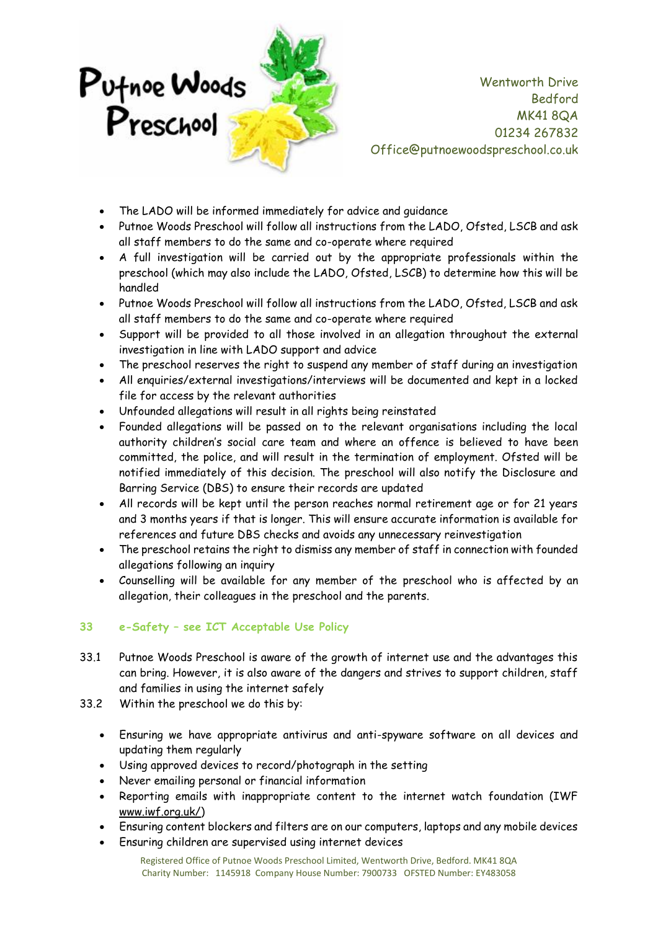

- The LADO will be informed immediately for advice and guidance
- Putnoe Woods Preschool will follow all instructions from the LADO, Ofsted, LSCB and ask all staff members to do the same and co-operate where required
- A full investigation will be carried out by the appropriate professionals within the preschool (which may also include the LADO, Ofsted, LSCB) to determine how this will be handled
- Putnoe Woods Preschool will follow all instructions from the LADO, Ofsted, LSCB and ask all staff members to do the same and co-operate where required
- Support will be provided to all those involved in an allegation throughout the external investigation in line with LADO support and advice
- The preschool reserves the right to suspend any member of staff during an investigation
- All enquiries/external investigations/interviews will be documented and kept in a locked file for access by the relevant authorities
- Unfounded allegations will result in all rights being reinstated
- Founded allegations will be passed on to the relevant organisations including the local authority children's social care team and where an offence is believed to have been committed, the police, and will result in the termination of employment. Ofsted will be notified immediately of this decision. The preschool will also notify the Disclosure and Barring Service (DBS) to ensure their records are updated
- All records will be kept until the person reaches normal retirement age or for 21 years and 3 months years if that is longer. This will ensure accurate information is available for references and future DBS checks and avoids any unnecessary reinvestigation
- The preschool retains the right to dismiss any member of staff in connection with founded allegations following an inquiry
- Counselling will be available for any member of the preschool who is affected by an allegation, their colleagues in the preschool and the parents.

# **33 e-Safety – see ICT Acceptable Use Policy**

- 33.1 Putnoe Woods Preschool is aware of the growth of internet use and the advantages this can bring. However, it is also aware of the dangers and strives to support children, staff and families in using the internet safely
- 33.2 Within the preschool we do this by:
	- Ensuring we have appropriate antivirus and anti-spyware software on all devices and updating them regularly
	- Using approved devices to record/photograph in the setting
	- Never emailing personal or financial information
	- Reporting emails with inappropriate content to the internet watch foundation (IWF [www.iwf.org.uk/\)](https://www.iwf.org.uk/)
	- Ensuring content blockers and filters are on our computers, laptops and any mobile devices
	- Ensuring children are supervised using internet devices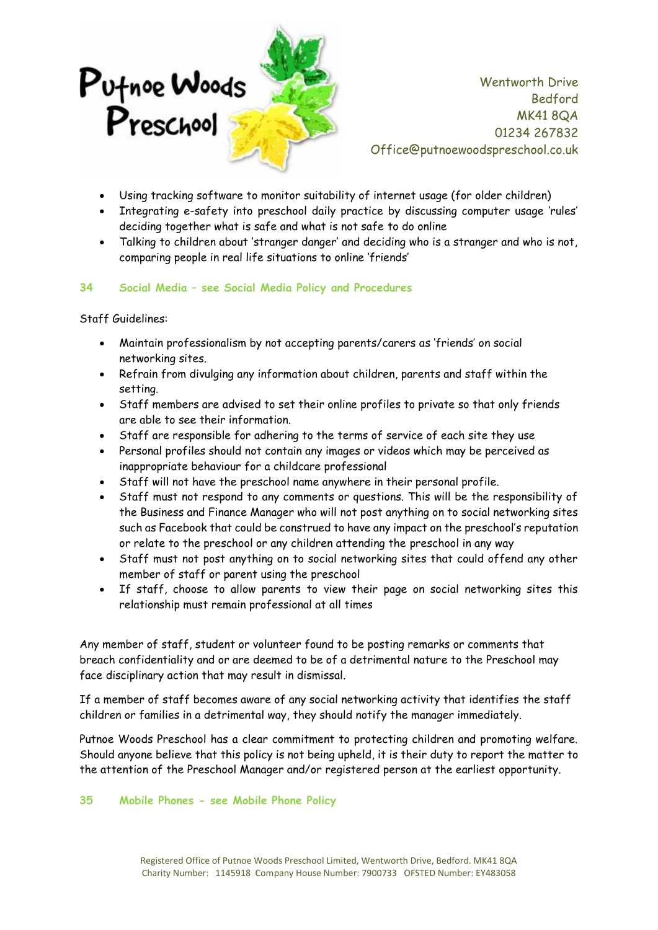

- Using tracking software to monitor suitability of internet usage (for older children)
- Integrating e-safety into preschool daily practice by discussing computer usage 'rules' deciding together what is safe and what is not safe to do online
- Talking to children about 'stranger danger' and deciding who is a stranger and who is not, comparing people in real life situations to online 'friends'

#### **34 Social Media – see Social Media Policy and Procedures**

Staff Guidelines:

- Maintain professionalism by not accepting parents/carers as 'friends' on social networking sites.
- Refrain from divulging any information about children, parents and staff within the setting.
- Staff members are advised to set their online profiles to private so that only friends are able to see their information.
- Staff are responsible for adhering to the terms of service of each site they use
- Personal profiles should not contain any images or videos which may be perceived as inappropriate behaviour for a childcare professional
- Staff will not have the preschool name anywhere in their personal profile.
- Staff must not respond to any comments or questions. This will be the responsibility of the Business and Finance Manager who will not post anything on to social networking sites such as Facebook that could be construed to have any impact on the preschool's reputation or relate to the preschool or any children attending the preschool in any way
- Staff must not post anything on to social networking sites that could offend any other member of staff or parent using the preschool
- If staff, choose to allow parents to view their page on social networking sites this relationship must remain professional at all times

Any member of staff, student or volunteer found to be posting remarks or comments that breach confidentiality and or are deemed to be of a detrimental nature to the Preschool may face disciplinary action that may result in dismissal.

If a member of staff becomes aware of any social networking activity that identifies the staff children or families in a detrimental way, they should notify the manager immediately.

Putnoe Woods Preschool has a clear commitment to protecting children and promoting welfare. Should anyone believe that this policy is not being upheld, it is their duty to report the matter to the attention of the Preschool Manager and/or registered person at the earliest opportunity.

#### **35 Mobile Phones - see Mobile Phone Policy**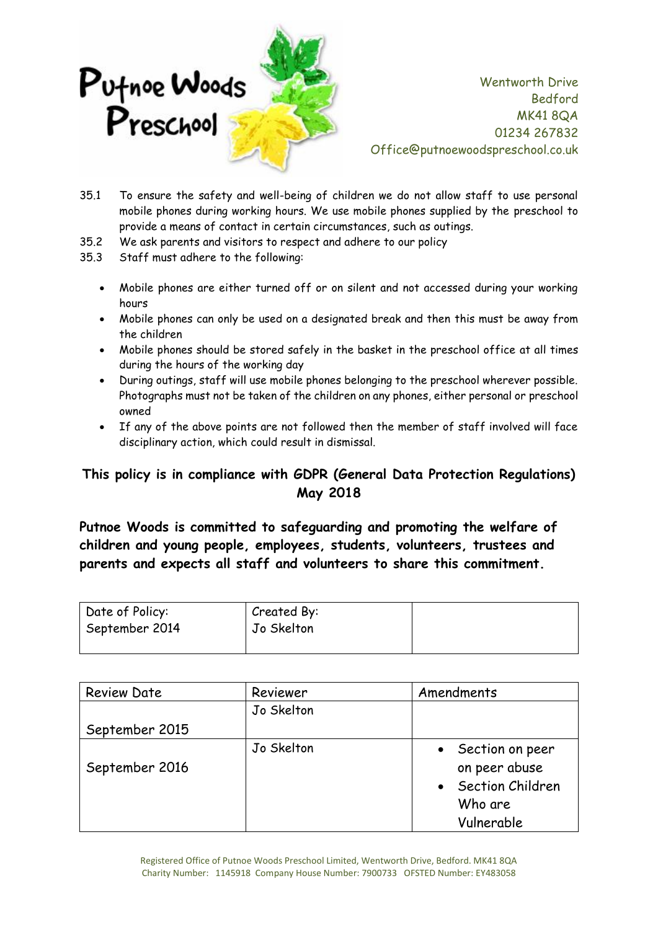

- 35.1 To ensure the safety and well-being of children we do not allow staff to use personal mobile phones during working hours. We use mobile phones supplied by the preschool to provide a means of contact in certain circumstances, such as outings.
- 35.2 We ask parents and visitors to respect and adhere to our policy
- 35.3 Staff must adhere to the following:
	- Mobile phones are either turned off or on silent and not accessed during your working hours
	- Mobile phones can only be used on a designated break and then this must be away from the children
	- Mobile phones should be stored safely in the basket in the preschool office at all times during the hours of the working day
	- During outings, staff will use mobile phones belonging to the preschool wherever possible. Photographs must not be taken of the children on any phones, either personal or preschool owned
	- If any of the above points are not followed then the member of staff involved will face disciplinary action, which could result in dismissal.

# **This policy is in compliance with GDPR (General Data Protection Regulations) May 2018**

**Putnoe Woods is committed to safeguarding and promoting the welfare of children and young people, employees, students, volunteers, trustees and parents and expects all staff and volunteers to share this commitment.**

| Date of Policy: | Created By: |  |
|-----------------|-------------|--|
| September 2014  | Jo Skelton  |  |
|                 |             |  |

| <b>Review Date</b> | Reviewer   | Amendments         |
|--------------------|------------|--------------------|
|                    | Jo Skelton |                    |
| September 2015     |            |                    |
|                    | Jo Skelton | Section on peer    |
| September 2016     |            | on peer abuse      |
|                    |            | • Section Children |
|                    |            | Who are            |
|                    |            | Vulnerable         |